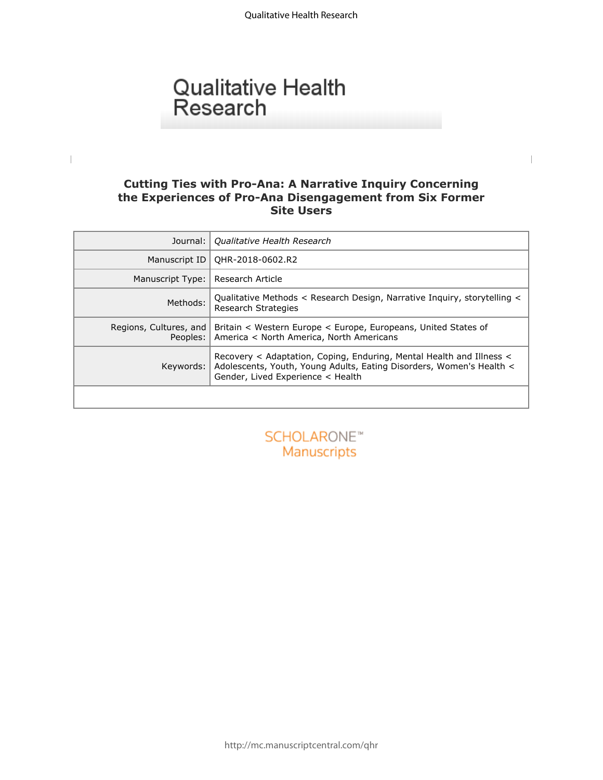Qualitative Health Research

# **Qualitative Health** Research

 $\|$ 

## **Cutting Ties with Pro-Ana: A Narrative Inquiry Concerning the Experiences of Pro-Ana Disengagement from Six Former Site Users**

| Journal:                           | Qualitative Health Research                                                                                                                                                       |  |  |  |  |
|------------------------------------|-----------------------------------------------------------------------------------------------------------------------------------------------------------------------------------|--|--|--|--|
| Manuscript ID                      | QHR-2018-0602.R2                                                                                                                                                                  |  |  |  |  |
| Manuscript Type:                   | Research Article                                                                                                                                                                  |  |  |  |  |
| Methods:                           | Qualitative Methods < Research Design, Narrative Inquiry, storytelling <<br>Research Strategies                                                                                   |  |  |  |  |
| Regions, Cultures, and<br>Peoples: | Britain < Western Europe < Europe, Europeans, United States of<br>America < North America, North Americans                                                                        |  |  |  |  |
| Keywords:                          | Recovery < Adaptation, Coping, Enduring, Mental Health and Illness <<br>Adolescents, Youth, Young Adults, Eating Disorders, Women's Health <<br>Gender, Lived Experience < Health |  |  |  |  |
|                                    |                                                                                                                                                                                   |  |  |  |  |
|                                    | SCHOLARONE <sup>®</sup><br>Manuscripts                                                                                                                                            |  |  |  |  |
|                                    |                                                                                                                                                                                   |  |  |  |  |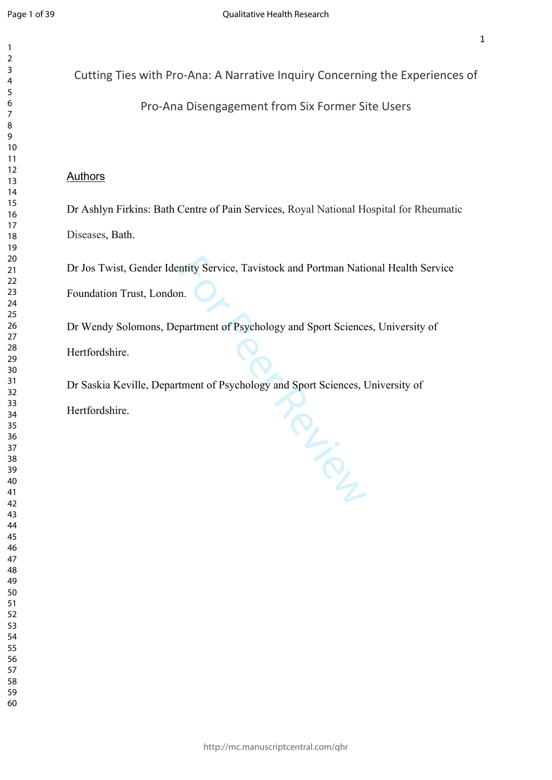Cutting Ties with Pro-Ana: A Narrative Inquiry Concerning the Experiences of Pro-Ana Disengagement from Six Former Site Users

## **Authors**

Dr Ashlyn Firkins: Bath Centre of Pain Services, Royal National Hospital for Rheumatic Diseases, Bath.

Dr Jos Twist, Gender Identity Service, Tavistock and Portman National Health Service

Foundation Trust, London.

Dr Wendy Solomons, Department of Psychology and Sport Sciences, University of Hertfordshire.

TRY.<br>TRY Dr Saskia Keville, Department of Psychology and Sport Sciences, University of Hertfordshire.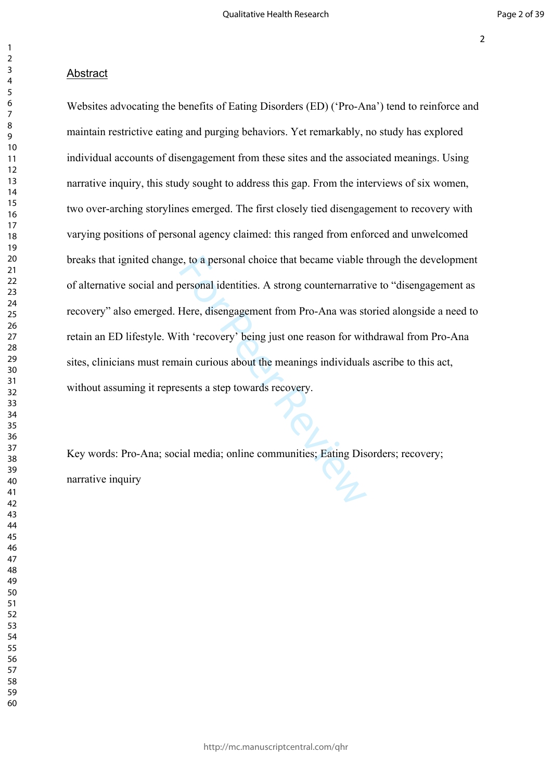## Abstract

e, to a personal choice that became viable<br>bersonal identities. A strong counternarrati<br>Here, disengagement from Pro-Ana was st<br>ith 'recovery' being just one reason for wit<br>ain curious about the meanings individuals<br>sents Websites advocating the benefits of Eating Disorders (ED) ('Pro-Ana') tend to reinforce and maintain restrictive eating and purging behaviors. Yet remarkably, no study has explored individual accounts of disengagement from these sites and the associated meanings. Using narrative inquiry, this study sought to address this gap. From the interviews of six women, two over-arching storylines emerged. The first closely tied disengagement to recovery with varying positions of personal agency claimed: this ranged from enforced and unwelcomed breaks that ignited change, to a personal choice that became viable through the development of alternative social and personal identities. A strong counternarrative to "disengagement as recovery" also emerged. Here, disengagement from Pro-Ana was storied alongside a need to retain an ED lifestyle. With 'recovery' being just one reason for withdrawal from Pro-Ana sites, clinicians must remain curious about the meanings individuals ascribe to this act, without assuming it represents a step towards recovery.

Key words: Pro-Ana; social media; online communities; Eating Disorders; recovery; narrative inquiry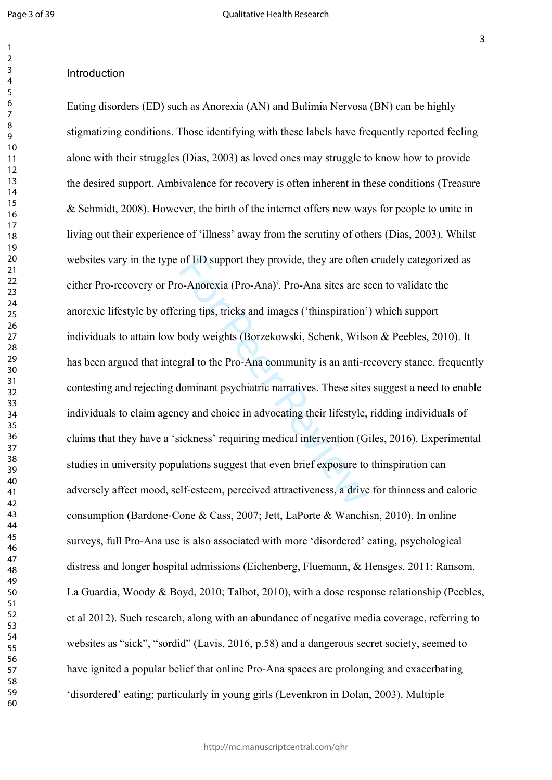#### Introduction

o-Anorexia (Pro-Ana)<sup>i</sup>. Pro-Ana sites are s<br>o-Anorexia (Pro-Ana)<sup>i</sup>. Pro-Ana sites are s<br>ring tips, tricks and images ('thinspiration'<br>body weights (Borzekowski, Schenk, Wils<br>gral to the Pro-Ana community is an anti-r<br>dom Eating disorders (ED) such as Anorexia (AN) and Bulimia Nervosa (BN) can be highly stigmatizing conditions. Those identifying with these labels have frequently reported feeling alone with their struggles (Dias, 2003) as loved ones may struggle to know how to provide the desired support. Ambivalence for recovery is often inherent in these conditions (Treasure & Schmidt, 2008). However, the birth of the internet offers new ways for people to unite in living out their experience of 'illness' away from the scrutiny of others (Dias, 2003). Whilst websites vary in the type of ED support they provide, they are often crudely categorized as either Pro-recovery or Pro-Anorexia (Pro-Ana)<sup>i</sup>. Pro-Ana sites are seen to validate the anorexic lifestyle by offering tips, tricks and images ('thinspiration') which support individuals to attain low body weights (Borzekowski, Schenk, Wilson & Peebles, 2010). It has been argued that integral to the Pro-Ana community is an anti-recovery stance, frequently contesting and rejecting dominant psychiatric narratives. These sites suggest a need to enable individuals to claim agency and choice in advocating their lifestyle, ridding individuals of claims that they have a 'sickness' requiring medical intervention (Giles, 2016). Experimental studies in university populations suggest that even brief exposure to thinspiration can adversely affect mood, self-esteem, perceived attractiveness, a drive for thinness and calorie consumption (Bardone ‐Cone & Cass, 2007; Jett, LaPorte & Wanchisn, 2010). In online surveys, full Pro-Ana use is also associated with more 'disordered' eating, psychological distress and longer hospital admissions (Eichenberg, Fluemann, & Hensges, 2011; Ransom, La Guardia, Woody & Boyd, 2010; Talbot, 2010), with a dose response relationship (Peebles, et al 2012). Such research, along with an abundance of negative media coverage, referring to websites as "sick", "sordid" (Lavis, 2016, p.58) and a dangerous secret society, seemed to have ignited a popular belief that online Pro-Ana spaces are prolonging and exacerbating 'disordered' eating; particularly in young girls (Levenkron in Dolan, 2003). Multiple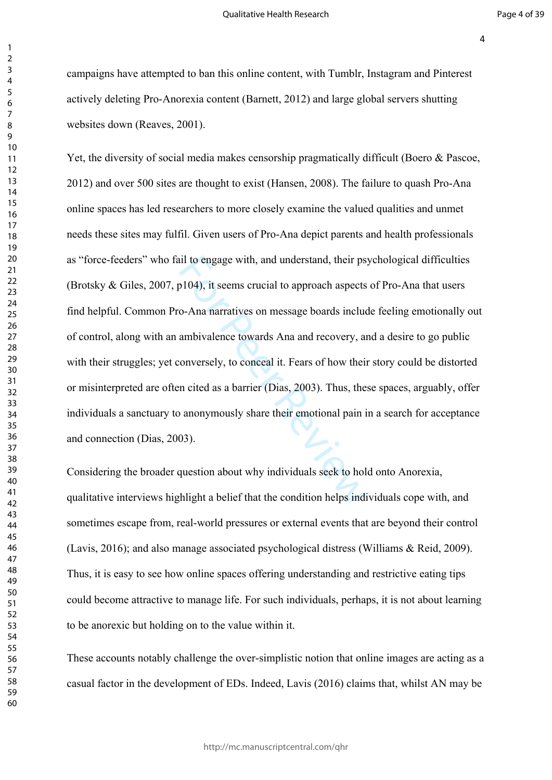campaigns have attempted to ban this online content, with Tumblr, Instagram and Pinterest actively deleting Pro-Anorexia content (Barnett, 2012) and large global servers shutting websites down (Reaves, 2001).

ial to engage with, and understand, their ps<br>
20104), it seems crucial to approach aspects<br>
0-Ana narratives on message boards includ<br>
ambivalence towards Ana and recovery, an<br>
conversely, to conceal it. Fears of how their Yet, the diversity of social media makes censorship pragmatically difficult (Boero & Pascoe, 2012) and over 500 sites are thought to exist (Hansen, 2008). The failure to quash Pro-Ana online spaces has led researchers to more closely examine the valued qualities and unmet needs these sites may fulfil. Given users of Pro-Ana depict parents and health professionals as "force-feeders" who fail to engage with, and understand, their psychological difficulties (Brotsky & Giles, 2007, p104), it seems crucial to approach aspects of Pro-Ana that users find helpful. Common Pro-Ana narratives on message boards include feeling emotionally out of control, along with an ambivalence towards Ana and recovery, and a desire to go public with their struggles; yet conversely, to conceal it. Fears of how their story could be distorted or misinterpreted are often cited as a barrier (Dias, 2003). Thus, these spaces, arguably, offer individuals a sanctuary to anonymously share their emotional pain in a search for acceptance and connection (Dias, 2003).

Considering the broader question about why individuals seek to hold onto Anorexia, qualitative interviews highlight a belief that the condition helps individuals cope with, and sometimes escape from, real-world pressures or external events that are beyond their control (Lavis, 2016); and also manage associated psychological distress (Williams & Reid, 2009). Thus, it is easy to see how online spaces offering understanding and restrictive eating tips could become attractive to manage life. For such individuals, perhaps, it is not about learning to be anorexic but holding on to the value within it.

These accounts notably challenge the over-simplistic notion that online images are acting as a casual factor in the development of EDs. Indeed, Lavis (2016) claims that, whilst AN may be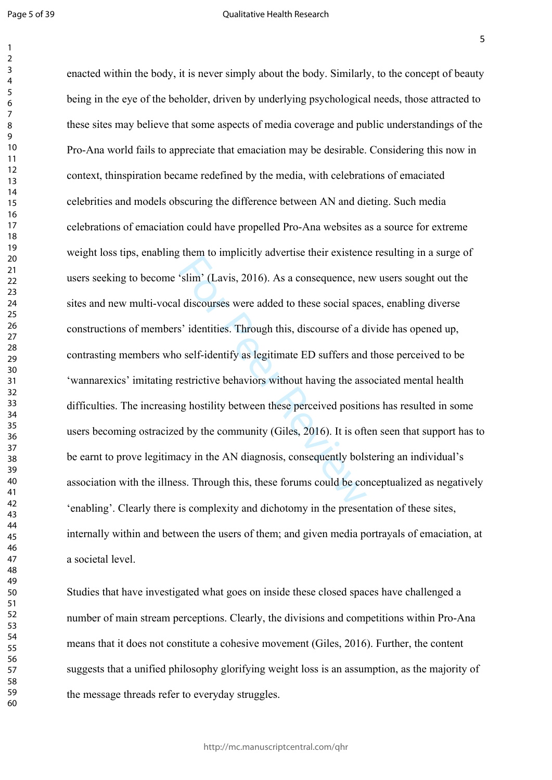Page 5 of 39

 $\mathbf{1}$ 

Sim' (Lavis, 2016). As a consequence, net discourses were added to these social spa<br>s' identities. Through this, discourse of a d<br>b self-identify as legitimate ED suffers and<br>estrictive behaviors without having the ass<br>neg enacted within the body, it is never simply about the body. Similarly, to the concept of beauty being in the eye of the beholder, driven by underlying psychological needs, those attracted to these sites may believe that some aspects of media coverage and public understandings of the Pro-Ana world fails to appreciate that emaciation may be desirable. Considering this now in context, thinspiration became redefined by the media, with celebrations of emaciated celebrities and models obscuring the difference between AN and dieting. Such media celebrations of emaciation could have propelled Pro-Ana websites as a source for extreme weight loss tips, enabling them to implicitly advertise their existence resulting in a surge of users seeking to become 'slim' (Lavis, 2016). As a consequence, new users sought out the sites and new multi-vocal discourses were added to these social spaces, enabling diverse constructions of members' identities. Through this, discourse of a divide has opened up, contrasting members who self-identify as legitimate ED suffers and those perceived to be 'wannarexics' imitating restrictive behaviors without having the associated mental health difficulties. The increasing hostility between these perceived positions has resulted in some users becoming ostracized by the community (Giles, 2016). It is often seen that support has to be earnt to prove legitimacy in the AN diagnosis, consequently bolstering an individual's association with the illness. Through this, these forums could be conceptualized as negatively 'enabling'. Clearly there is complexity and dichotomy in the presentation of these sites, internally within and between the users of them; and given media portrayals of emaciation, at a societal level.

Studies that have investigated what goes on inside these closed spaces have challenged a number of main stream perceptions. Clearly, the divisions and competitions within Pro-Ana means that it does not constitute a cohesive movement (Giles, 2016). Further, the content suggests that a unified philosophy glorifying weight loss is an assumption, as the majority of the message threads refer to everyday struggles.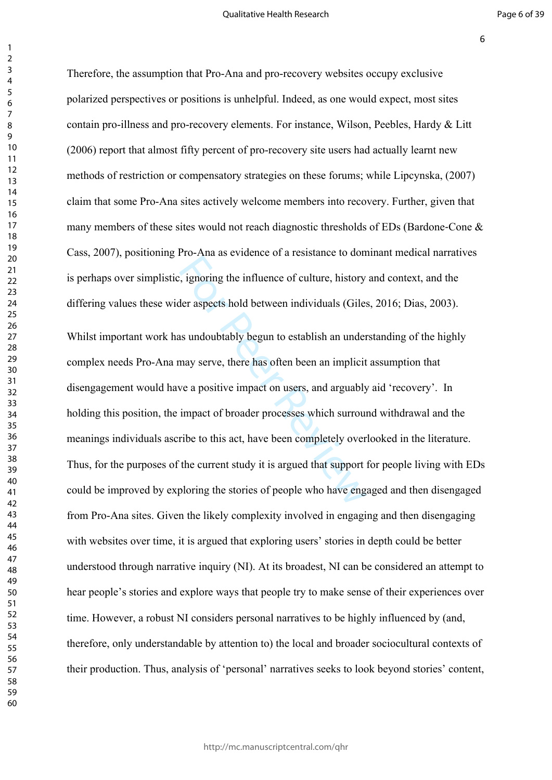#### Qualitative Health Research

Therefore, the assumption that Pro-Ana and pro-recovery websites occupy exclusive

For the container of a restautive to define<br>the influence of culture, history<br>der aspects hold between individuals (Giles<br>as undoubtably begun to establish an under<br>may serve, there has often been an implicit<br>we a positive polarized perspectives or positions is unhelpful. Indeed, as one would expect, most sites contain pro-illness and pro-recovery elements. For instance, Wilson, Peebles, Hardy & Litt (2006) report that almost fifty percent of pro-recovery site users had actually learnt new methods of restriction or compensatory strategies on these forums; while Lipcynska, (2007) claim that some Pro-Ana sites actively welcome members into recovery. Further, given that many members of these sites would not reach diagnostic thresholds of EDs (Bardone-Cone & Cass, 2007), positioning Pro-Ana as evidence of a resistance to dominant medical narratives is perhaps over simplistic, ignoring the influence of culture, history and context, and the differing values these wider aspects hold between individuals (Giles, 2016; Dias, 2003). Whilst important work has undoubtably begun to establish an understanding of the highly complex needs Pro-Ana may serve, there has often been an implicit assumption that disengagement would have a positive impact on users, and arguably aid 'recovery'. In holding this position, the impact of broader processes which surround withdrawal and the meanings individuals ascribe to this act, have been completely overlooked in the literature. Thus, for the purposes of the current study it is argued that support for people living with EDs could be improved by exploring the stories of people who have engaged and then disengaged from Pro-Ana sites. Given the likely complexity involved in engaging and then disengaging with websites over time, it is argued that exploring users' stories in depth could be better understood through narrative inquiry (NI). At its broadest, NI can be considered an attempt to hear people's stories and explore ways that people try to make sense of their experiences over

therefore, only understandable by attention to) the local and broader sociocultural contexts of their production. Thus, analysis of 'personal' narratives seeks to look beyond stories' content,

time. However, a robust NI considers personal narratives to be highly influenced by (and,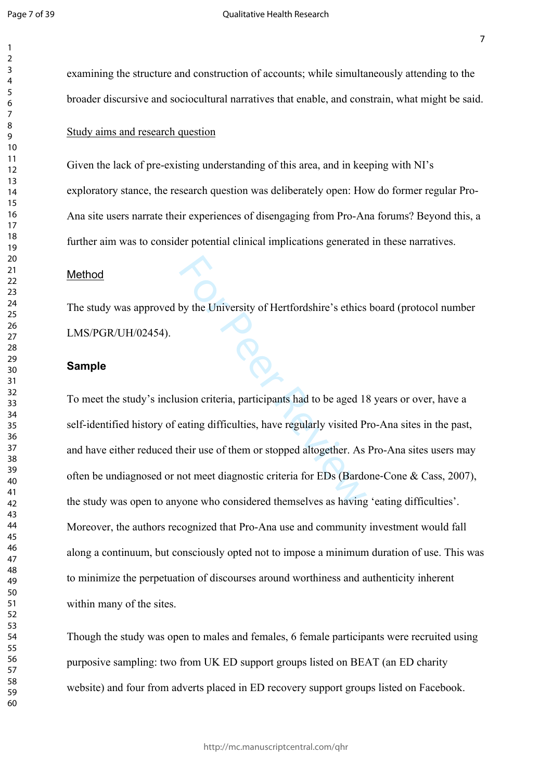$\mathbf{1}$ 

examining the structure and construction of accounts; while simultaneously attending to the broader discursive and sociocultural narratives that enable, and constrain, what might be said.

#### Study aims and research question

Given the lack of pre-existing understanding of this area, and in keeping with NI's exploratory stance, the research question was deliberately open: How do former regular Pro-Ana site users narrate their experiences of disengaging from Pro-Ana forums? Beyond this, a further aim was to consider potential clinical implications generated in these narratives.

#### Method

The study was approved by the University of Hertfordshire's ethics board (protocol number LMS/PGR/UH/02454).

#### **Sample**

by the University of Hertfordshire's ethics<br>
sion criteria, participants had to be aged 1%<br>
eating difficulties, have regularly visited P<br>
heir use of them or stopped altogether. As<br>
not meet diagnostic criteria for EDs (B To meet the study's inclusion criteria, participants had to be aged 18 years or over, have a self-identified history of eating difficulties, have regularly visited Pro-Ana sites in the past, and have either reduced their use of them or stopped altogether. As Pro-Ana sites users may often be undiagnosed or not meet diagnostic criteria for EDs (Bardone-Cone & Cass, 2007), the study was open to anyone who considered themselves as having 'eating difficulties'. Moreover, the authors recognized that Pro-Ana use and community investment would fall along a continuum, but consciously opted not to impose a minimum duration of use. This was to minimize the perpetuation of discourses around worthiness and authenticity inherent within many of the sites.

Though the study was open to males and females, 6 female participants were recruited using purposive sampling: two from UK ED support groups listed on BEAT (an ED charity website) and four from adverts placed in ED recovery support groups listed on Facebook.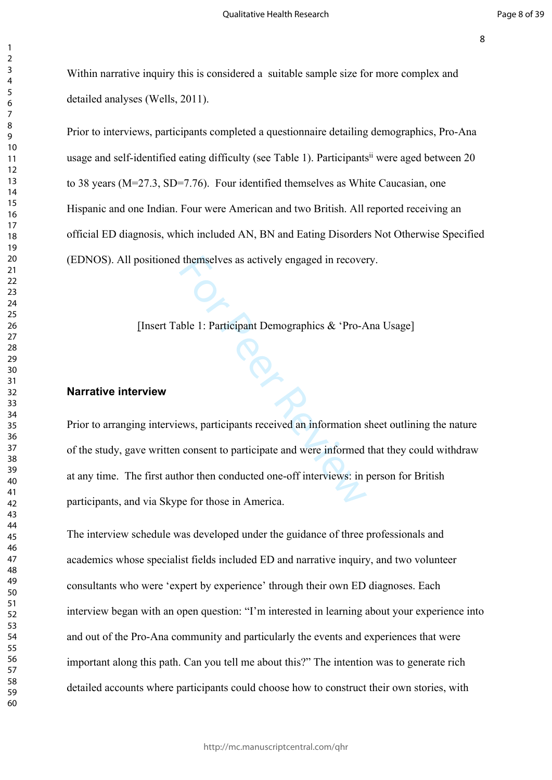Within narrative inquiry this is considered a suitable sample size for more complex and detailed analyses (Wells, 2011).

Prior to interviews, participants completed a questionnaire detailing demographics, Pro-Ana usage and self-identified eating difficulty (see Table 1). Participantsii were aged between 20 to 38 years (M=27.3, SD=7.76). Four identified themselves as White Caucasian, one Hispanic and one Indian. Four were American and two British. All reported receiving an official ED diagnosis, which included AN, BN and Eating Disorders Not Otherwise Specified (EDNOS). All positioned themselves as actively engaged in recovery.

[Insert Table 1: Participant Demographics & 'Pro-Ana Usage]

**For A** 

#### **Narrative interview**

Prior to arranging interviews, participants received an information sheet outlining the nature of the study, gave written consent to participate and were informed that they could withdraw at any time. The first author then conducted one-off interviews: in person for British participants, and via Skype for those in America.

The interview schedule was developed under the guidance of three professionals and academics whose specialist fields included ED and narrative inquiry, and two volunteer consultants who were 'expert by experience' through their own ED diagnoses. Each interview began with an open question: "I'm interested in learning about your experience into and out of the Pro-Ana community and particularly the events and experiences that were important along this path. Can you tell me about this?" The intention was to generate rich detailed accounts where participants could choose how to construct their own stories, with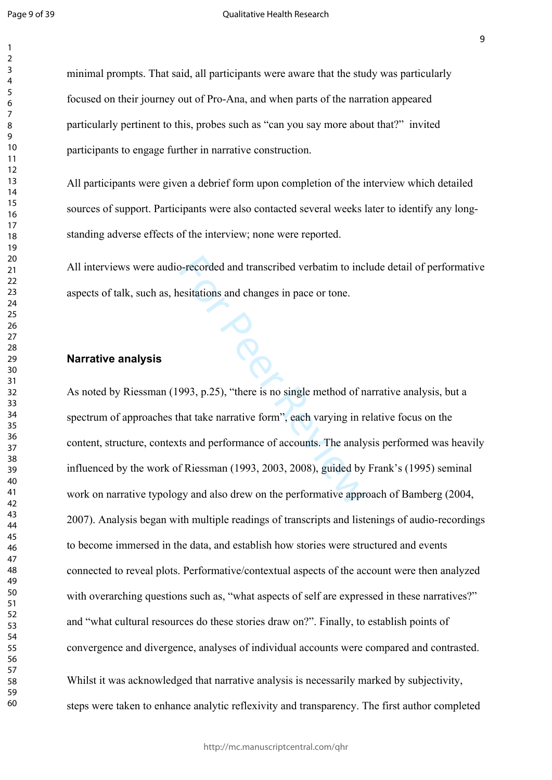$\mathbf{1}$ 

minimal prompts. That said, all participants were aware that the study was particularly focused on their journey out of Pro-Ana, and when parts of the narration appeared particularly pertinent to this, probes such as "can you say more about that?" invited participants to engage further in narrative construction.

All participants were given a debrief form upon completion of the interview which detailed sources of support. Participants were also contacted several weeks later to identify any longstanding adverse effects of the interview; none were reported.

All interviews were audio-recorded and transcribed verbatim to include detail of performative aspects of talk, such as, hesitations and changes in pace or tone.

#### **Narrative analysis**

o-recorded and transcribed verbatim to inclesitations and changes in pace or tone.<br>
993, p.25), "there is no single method of n<br>
hat take narrative form", each varying in re<br>
ts and performance of accounts. The analy<br>
f Ri As noted by Riessman (1993, p.25), "there is no single method of narrative analysis, but a spectrum of approaches that take narrative form", each varying in relative focus on the content, structure, contexts and performance of accounts. The analysis performed was heavily influenced by the work of Riessman (1993, 2003, 2008), guided by Frank's (1995) seminal work on narrative typology and also drew on the performative approach of Bamberg (2004, 2007). Analysis began with multiple readings of transcripts and listenings of audio-recordings to become immersed in the data, and establish how stories were structured and events connected to reveal plots. Performative/contextual aspects of the account were then analyzed with overarching questions such as, "what aspects of self are expressed in these narratives?" and "what cultural resources do these stories draw on?". Finally, to establish points of convergence and divergence, analyses of individual accounts were compared and contrasted. Whilst it was acknowledged that narrative analysis is necessarily marked by subjectivity, steps were taken to enhance analytic reflexivity and transparency. The first author completed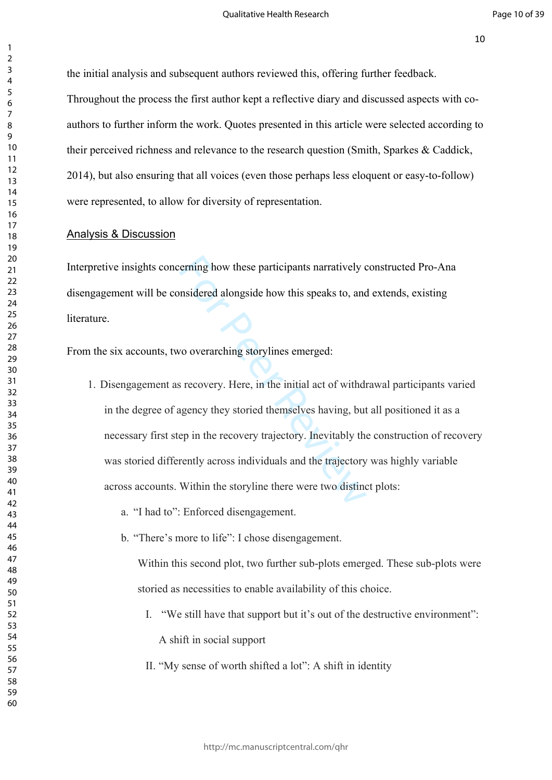the initial analysis and subsequent authors reviewed this, offering further feedback. Throughout the process the first author kept a reflective diary and discussed aspects with coauthors to further inform the work. Quotes presented in this article were selected according to their perceived richness and relevance to the research question (Smith, Sparkes & Caddick, 2014), but also ensuring that all voices (even those perhaps less eloquent or easy-to-follow) were represented, to allow for diversity of representation.

#### Analysis & Discussion

Interpretive insights concerning how these participants narratively constructed Pro-Ana disengagement will be considered alongside how this speaks to, and extends, existing literature.

From the six accounts, two overarching storylines emerged:

- For Perning how these participants narratively considered alongside how this speaks to, and<br>not provide alongside how this speaks to, and<br>not provided the speaks of the speaker Review of the speaker Review of the pair of t 1. Disengagement as recovery. Here, in the initial act of withdrawal participants varied in the degree of agency they storied themselves having, but all positioned it as a necessary first step in the recovery trajectory. Inevitably the construction of recovery was storied differently across individuals and the trajectory was highly variable across accounts. Within the storyline there were two distinct plots:
	- a. "I had to": Enforced disengagement.
	- b. "There's more to life": I chose disengagement.

Within this second plot, two further sub-plots emerged. These sub-plots were storied as necessities to enable availability of this choice.

- I. "We still have that support but it's out of the destructive environment": A shift in social support
- II. "My sense of worth shifted a lot": A shift in identity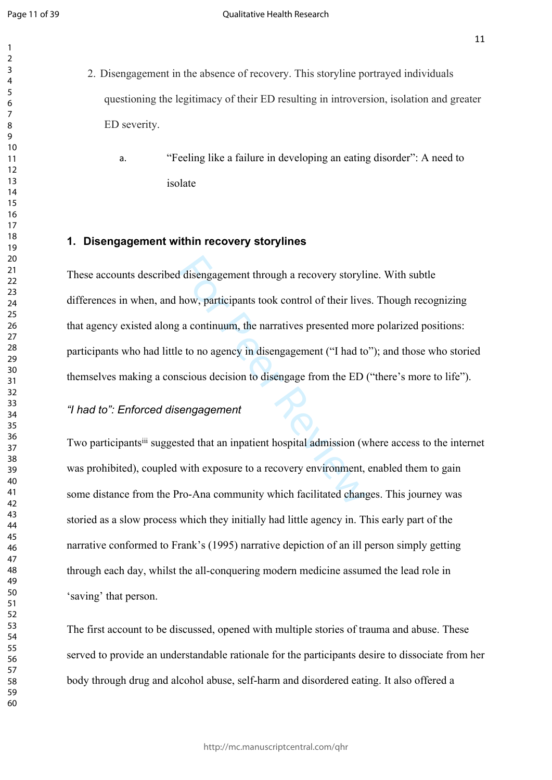$\mathbf{1}$  $\overline{2}$  $\overline{3}$  $\overline{4}$  $\overline{7}$ 

- 2. Disengagement in the absence of recovery. This storyline portrayed individuals questioning the legitimacy of their ED resulting in introversion, isolation and greater ED severity.
	- a. "Feeling like a failure in developing an eating disorder": A need to isolate

## **1. Disengagement within recovery storylines**

I disengagement through a recovery storyli<br>how, participants took control of their live<br>a continuum, the narratives presented more<br>to no agency in disengagement ("I had to<br>scious decision to disengage from the ED<br>engagemen These accounts described disengagement through a recovery storyline. With subtle differences in when, and how, participants took control of their lives. Though recognizing that agency existed along a continuum, the narratives presented more polarized positions: participants who had little to no agency in disengagement ("I had to"); and those who storied themselves making a conscious decision to disengage from the ED ("there's more to life").

## *"I had to": Enforced disengagement*

Two participantsiii suggested that an inpatient hospital admission (where access to the internet was prohibited), coupled with exposure to a recovery environment, enabled them to gain some distance from the Pro-Ana community which facilitated changes. This journey was storied as a slow process which they initially had little agency in. This early part of the narrative conformed to Frank's (1995) narrative depiction of an ill person simply getting through each day, whilst the all-conquering modern medicine assumed the lead role in 'saving' that person.

The first account to be discussed, opened with multiple stories of trauma and abuse. These served to provide an understandable rationale for the participants desire to dissociate from her body through drug and alcohol abuse, self-harm and disordered eating. It also offered a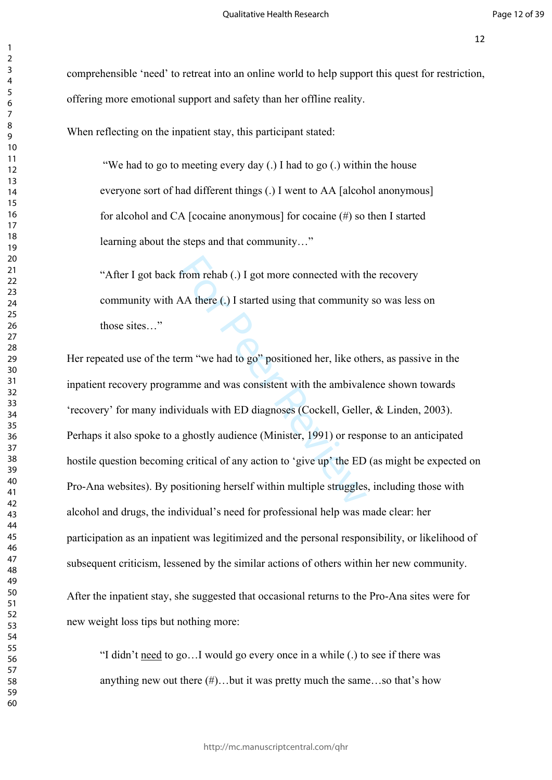comprehensible 'need' to retreat into an online world to help support this quest for restriction, offering more emotional support and safety than her offline reality.

When reflecting on the inpatient stay, this participant stated:

 "We had to go to meeting every day (.) I had to go (.) within the house everyone sort of had different things (.) I went to AA [alcohol anonymous] for alcohol and CA [cocaine anonymous] for cocaine (#) so then I started learning about the steps and that community…"

"After I got back from rehab (.) I got more connected with the recovery community with AA there (.) I started using that community so was less on those sites "

from rehab (.) I got more connected with the<br>AA there (.) I started using that community<br>Prm "we had to go" positioned her, like oth<br>mme and was consistent with the ambivale<br>viduals with ED diagnoses (Cockell, Gelle<br>ghostl Her repeated use of the term "we had to go" positioned her, like others, as passive in the inpatient recovery programme and was consistent with the ambivalence shown towards 'recovery' for many individuals with ED diagnoses (Cockell, Geller, & Linden, 2003). Perhaps it also spoke to a ghostly audience (Minister, 1991) or response to an anticipated hostile question becoming critical of any action to 'give up' the ED (as might be expected on Pro-Ana websites). By positioning herself within multiple struggles, including those with alcohol and drugs, the individual's need for professional help was made clear: her participation as an inpatient was legitimized and the personal responsibility, or likelihood of subsequent criticism, lessened by the similar actions of others within her new community. After the inpatient stay, she suggested that occasional returns to the Pro-Ana sites were for new weight loss tips but nothing more:

"I didn't need to go…I would go every once in a while (.) to see if there was anything new out there  $(\#)$ ...but it was pretty much the same...so that's how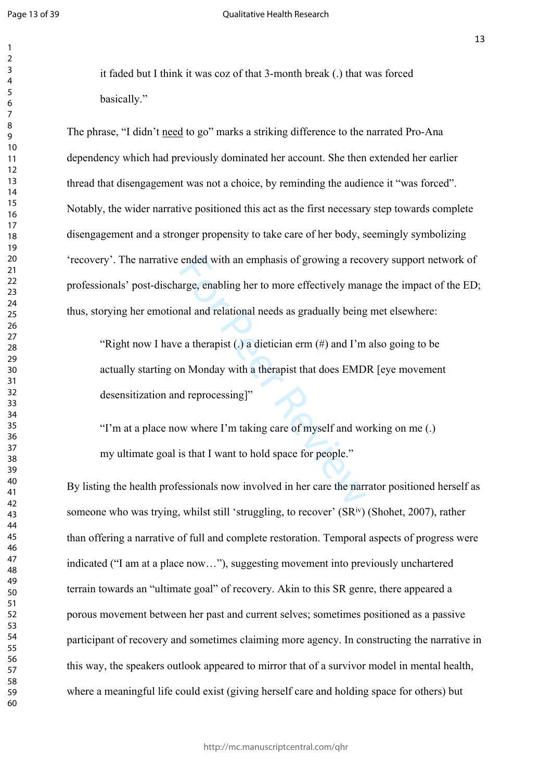$\mathbf{1}$  $\overline{2}$  $\overline{3}$  $\overline{4}$  $\overline{7}$ 

it faded but I think it was coz of that 3-month break (.) that was forced basically."

The phrase, "I didn't need to go" marks a striking difference to the narrated Pro-Ana dependency which had previously dominated her account. She then extended her earlier thread that disengagement was not a choice, by reminding the audience it "was forced". Notably, the wider narrative positioned this act as the first necessary step towards complete disengagement and a stronger propensity to take care of her body, seemingly symbolizing 'recovery'. The narrative ended with an emphasis of growing a recovery support network of professionals' post-discharge, enabling her to more effectively manage the impact of the ED; thus, storying her emotional and relational needs as gradually being met elsewhere:

ended with an emphasis of growing a reccarge, enabling her to more effectively man<br>nal and relational needs as gradually being<br>e a therapist (.) a dietician erm (#) and I'm<br>n Monday with a therapist that does EMD<br>d reproc "Right now I have a therapist (.) a dietician erm (#) and I'm also going to be actually starting on Monday with a therapist that does EMDR [eye movement desensitization and reprocessing]"

"I'm at a place now where I'm taking care of myself and working on me (.) my ultimate goal is that I want to hold space for people."

By listing the health professionals now involved in her care the narrator positioned herself as someone who was trying, whilst still 'struggling, to recover'  $(SR<sup>iv</sup>)$  (Shohet, 2007), rather than offering a narrative of full and complete restoration. Temporal aspects of progress were indicated ("I am at a place now…"), suggesting movement into previously unchartered terrain towards an "ultimate goal" of recovery. Akin to this SR genre, there appeared a porous movement between her past and current selves; sometimes positioned as a passive participant of recovery and sometimes claiming more agency. In constructing the narrative in this way, the speakers outlook appeared to mirror that of a survivor model in mental health, where a meaningful life could exist (giving herself care and holding space for others) but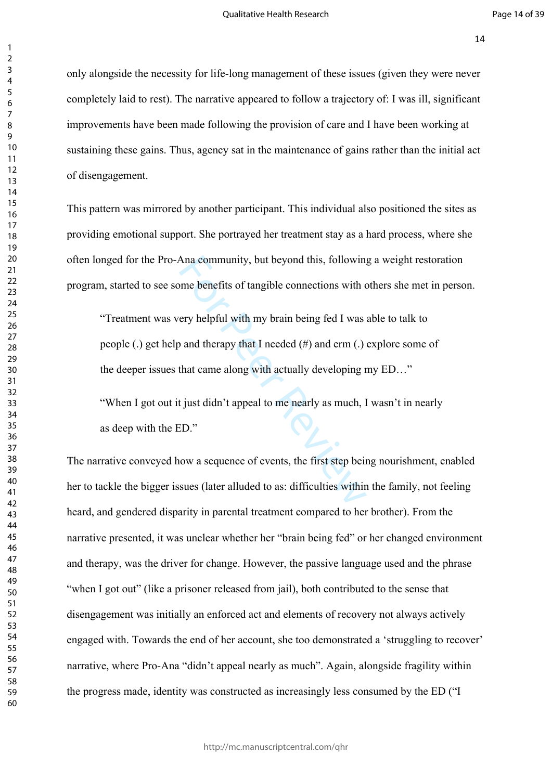only alongside the necessity for life-long management of these issues (given they were never completely laid to rest). The narrative appeared to follow a trajectory of: I was ill, significant improvements have been made following the provision of care and I have been working at sustaining these gains. Thus, agency sat in the maintenance of gains rather than the initial act of disengagement.

This pattern was mirrored by another participant. This individual also positioned the sites as providing emotional support. She portrayed her treatment stay as a hard process, where she often longed for the Pro-Ana community, but beyond this, following a weight restoration program, started to see some benefits of tangible connections with others she met in person.

Ana community, but beyond this, following<br>the benefits of tangible connections with c<br>ery helpful with my brain being fed I was<br>o and therapy that I needed (#) and erm (.)<br>that came along with actually developing r<br>t just "Treatment was very helpful with my brain being fed I was able to talk to people (.) get help and therapy that I needed (#) and erm (.) explore some of the deeper issues that came along with actually developing my ED…"

"When I got out it just didn't appeal to me nearly as much, I wasn't in nearly as deep with the ED."

The narrative conveyed how a sequence of events, the first step being nourishment, enabled her to tackle the bigger issues (later alluded to as: difficulties within the family, not feeling heard, and gendered disparity in parental treatment compared to her brother). From the narrative presented, it was unclear whether her "brain being fed" or her changed environment and therapy, was the driver for change. However, the passive language used and the phrase "when I got out" (like a prisoner released from jail), both contributed to the sense that disengagement was initially an enforced act and elements of recovery not always actively engaged with. Towards the end of her account, she too demonstrated a 'struggling to recover' narrative, where Pro-Ana "didn't appeal nearly as much". Again, alongside fragility within the progress made, identity was constructed as increasingly less consumed by the ED ("I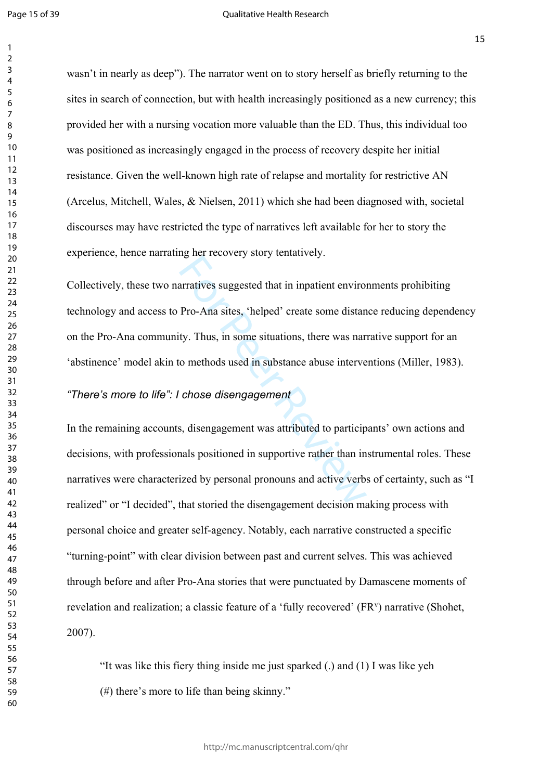$\mathbf{1}$ 

  wasn't in nearly as deep"). The narrator went on to story herself as briefly returning to the sites in search of connection, but with health increasingly positioned as a new currency; this provided her with a nursing vocation more valuable than the ED. Thus, this individual too was positioned as increasingly engaged in the process of recovery despite her initial resistance. Given the well-known high rate of relapse and mortality for restrictive AN (Arcelus, Mitchell, Wales, & Nielsen, 2011) which she had been diagnosed with, societal discourses may have restricted the type of narratives left available for her to story the experience, hence narrating her recovery story tentatively.

arratives suggested that in inpatient envirors<br>Pro-Ana sites, 'helped' create some distanty.<br>Thus, in some situations, there was nar<br>to methods used in substance abuse interve<br>chose disengagement<br>s, disengagement<br>s, diseng Collectively, these two narratives suggested that in inpatient environments prohibiting technology and access to Pro-Ana sites, 'helped' create some distance reducing dependency on the Pro-Ana community. Thus, in some situations, there was narrative support for an 'abstinence' model akin to methods used in substance abuse interventions (Miller, 1983).

## *"There's more to life": I chose disengagement*

In the remaining accounts, disengagement was attributed to participants' own actions and decisions, with professionals positioned in supportive rather than instrumental roles. These narratives were characterized by personal pronouns and active verbs of certainty, such as "I realized" or "I decided", that storied the disengagement decision making process with personal choice and greater self-agency. Notably, each narrative constructed a specific "turning-point" with clear division between past and current selves. This was achieved through before and after Pro-Ana stories that were punctuated by Damascene moments of revelation and realization; a classic feature of a 'fully recovered' (FR<sup>v</sup>) narrative (Shohet, 2007).

"It was like this fiery thing inside me just sparked (.) and (1) I was like yeh (#) there's more to life than being skinny."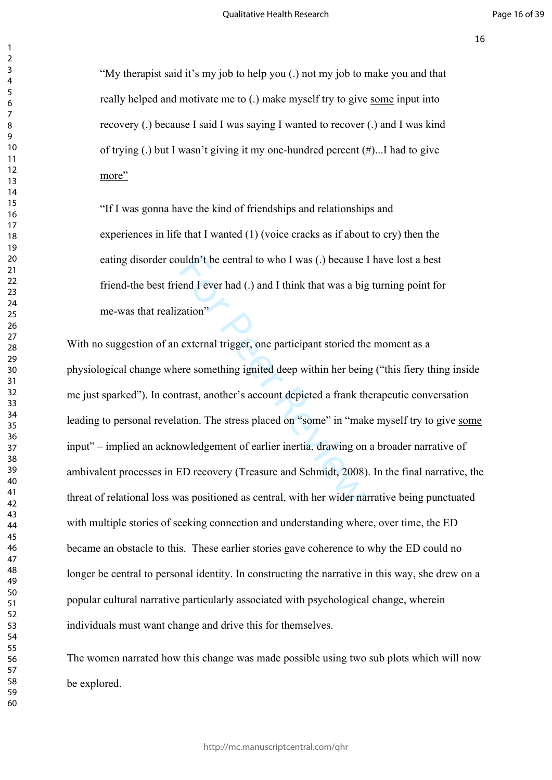"My therapist said it's my job to help you (.) not my job to make you and that really helped and motivate me to (.) make myself try to give some input into recovery (.) because I said I was saying I wanted to recover (.) and I was kind of trying (.) but I wasn't giving it my one-hundred percent (#)...I had to give more"

"If I was gonna have the kind of friendships and relationships and experiences in life that I wanted (1) (voice cracks as if about to cry) then the eating disorder couldn't be central to who I was (.) because I have lost a best friend-the best friend I ever had (.) and I think that was a big turning point for me-was that realization"

uldn't be central to who I was (.) because<br>end I ever had (.) and I think that was a big<br>zation"<br>external trigger, one participant storied there<br>something ignited deep within her bein<br>trast, another's account depicted a fr With no suggestion of an external trigger, one participant storied the moment as a physiological change where something ignited deep within her being ("this fiery thing inside me just sparked"). In contrast, another's account depicted a frank therapeutic conversation leading to personal revelation. The stress placed on "some" in "make myself try to give some input" – implied an acknowledgement of earlier inertia, drawing on a broader narrative of ambivalent processes in ED recovery (Treasure and Schmidt, 2008). In the final narrative, the threat of relational loss was positioned as central, with her wider narrative being punctuated with multiple stories of seeking connection and understanding where, over time, the ED became an obstacle to this. These earlier stories gave coherence to why the ED could no longer be central to personal identity. In constructing the narrative in this way, she drew on a popular cultural narrative particularly associated with psychological change, wherein individuals must want change and drive this for themselves.

The women narrated how this change was made possible using two sub plots which will now be explored.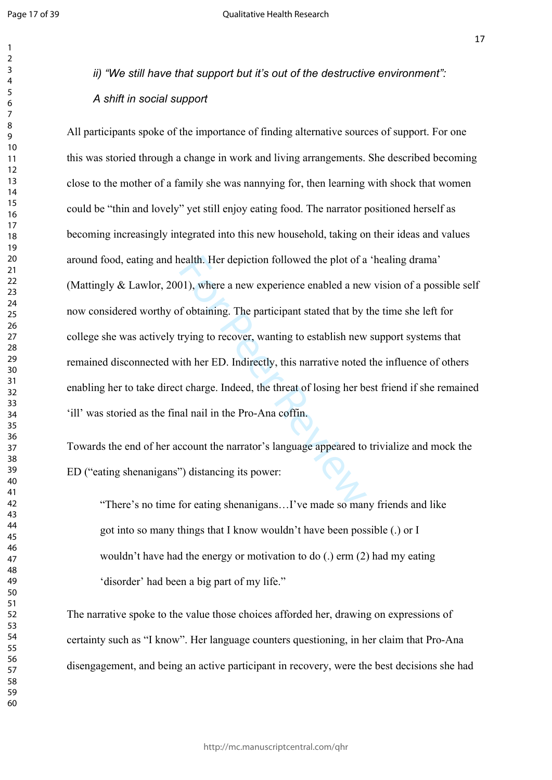$\mathbf{1}$  $\overline{2}$  $\overline{3}$  $\overline{4}$  ## *ii) "We still have that support but it's out of the destructive environment": A shift in social support*

health. Her depiction followed the plot of a<br>
101), where a new experience enabled a nev<br>
f obtaining. The participant stated that by<br>
trying to recover, wanting to establish new<br>
ith her ED. Indirectly, this narrative not All participants spoke of the importance of finding alternative sources of support. For one this was storied through a change in work and living arrangements. She described becoming close to the mother of a family she was nannying for, then learning with shock that women could be "thin and lovely" yet still enjoy eating food. The narrator positioned herself as becoming increasingly integrated into this new household, taking on their ideas and values around food, eating and health. Her depiction followed the plot of a 'healing drama' (Mattingly & Lawlor, 2001), where a new experience enabled a new vision of a possible self now considered worthy of obtaining. The participant stated that by the time she left for college she was actively trying to recover, wanting to establish new support systems that remained disconnected with her ED. Indirectly, this narrative noted the influence of others enabling her to take direct charge. Indeed, the threat of losing her best friend if she remained 'ill' was storied as the final nail in the Pro-Ana coffin.

Towards the end of her account the narrator's language appeared to trivialize and mock the ED ("eating shenanigans") distancing its power:

"There's no time for eating shenanigans…I've made so many friends and like got into so many things that I know wouldn't have been possible (.) or I wouldn't have had the energy or motivation to do (.) erm (2) had my eating 'disorder' had been a big part of my life."

The narrative spoke to the value those choices afforded her, drawing on expressions of certainty such as "I know". Her language counters questioning, in her claim that Pro-Ana disengagement, and being an active participant in recovery, were the best decisions she had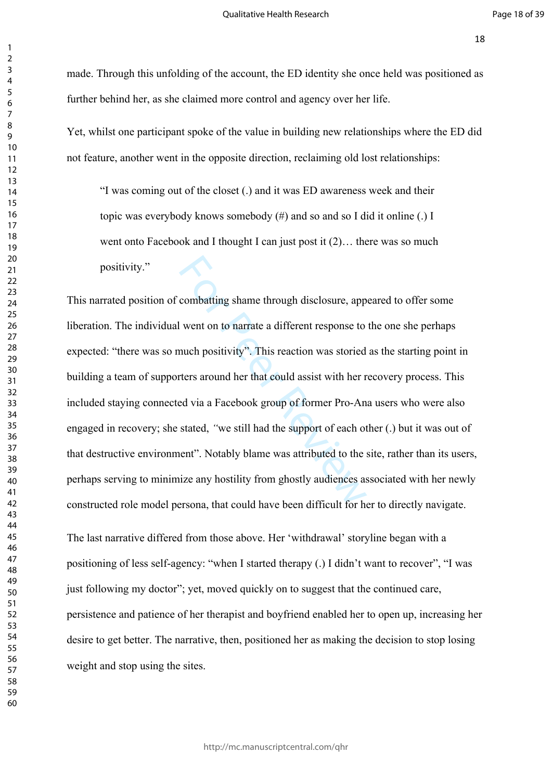made. Through this unfolding of the account, the ED identity she once held was positioned as further behind her, as she claimed more control and agency over her life.

Yet, whilst one participant spoke of the value in building new relationships where the ED did not feature, another went in the opposite direction, reclaiming old lost relationships:

"I was coming out of the closet (.) and it was ED awareness week and their topic was everybody knows somebody (#) and so and so I did it online (.) I went onto Facebook and I thought I can just post it  $(2)$ ... there was so much positivity."

combatting shame through disclosure, app<br>
went on to narrate a different response to<br>
nuch positivity". This reaction was storied<br>
rters around her that could assist with her r<br>
ed via a Facebook group of former Pro-An<br>
st This narrated position of combatting shame through disclosure, appeared to offer some liberation. The individual went on to narrate a different response to the one she perhaps expected: "there was so much positivity". This reaction was storied as the starting point in building a team of supporters around her that could assist with her recovery process. This included staying connected via a Facebook group of former Pro-Ana users who were also engaged in recovery; she stated, *"*we still had the support of each other (.) but it was out of that destructive environment". Notably blame was attributed to the site, rather than its users, perhaps serving to minimize any hostility from ghostly audiences associated with her newly constructed role model persona, that could have been difficult for her to directly navigate.

The last narrative differed from those above. Her 'withdrawal' storyline began with a positioning of less self-agency: "when I started therapy (.) I didn't want to recover", "I was just following my doctor"; yet, moved quickly on to suggest that the continued care, persistence and patience of her therapist and boyfriend enabled her to open up, increasing her desire to get better. The narrative, then, positioned her as making the decision to stop losing weight and stop using the sites.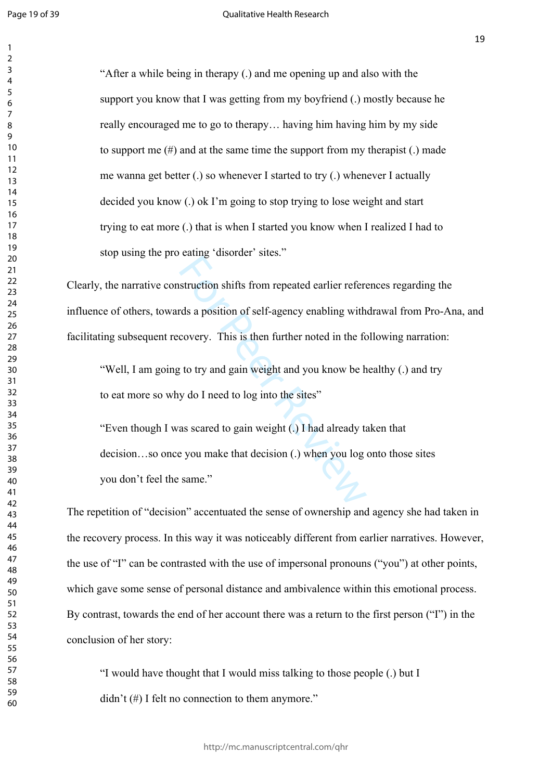$\mathbf{1}$ 

"After a while being in therapy (.) and me opening up and also with the support you know that I was getting from my boyfriend (.) mostly because he really encouraged me to go to therapy… having him having him by my side to support me  $(\#)$  and at the same time the support from my therapist (.) made me wanna get better (.) so whenever I started to try (.) whenever I actually decided you know (.) ok I'm going to stop trying to lose weight and start trying to eat more (.) that is when I started you know when I realized I had to stop using the pro eating 'disorder' sites."

Extruction shifts from repeated earlier referents<br>restruction shifts from repeated earlier referents<br>reviewery. This is then further noted in the forther to the set of the set of the set of the set of the set of the set of Clearly, the narrative construction shifts from repeated earlier references regarding the influence of others, towards a position of self-agency enabling withdrawal from Pro-Ana, and facilitating subsequent recovery. This is then further noted in the following narration:

"Well, I am going to try and gain weight and you know be healthy (.) and try to eat more so why do I need to log into the sites"

"Even though I was scared to gain weight (.) I had already taken that decision…so once you make that decision (.) when you log onto those sites you don't feel the same."

The repetition of "decision" accentuated the sense of ownership and agency she had taken in the recovery process. In this way it was noticeably different from earlier narratives. However, the use of "I" can be contrasted with the use of impersonal pronouns ("you") at other points, which gave some sense of personal distance and ambivalence within this emotional process. By contrast, towards the end of her account there was a return to the first person ("I") in the conclusion of her story:

"I would have thought that I would miss talking to those people (.) but I didn't (#) I felt no connection to them anymore."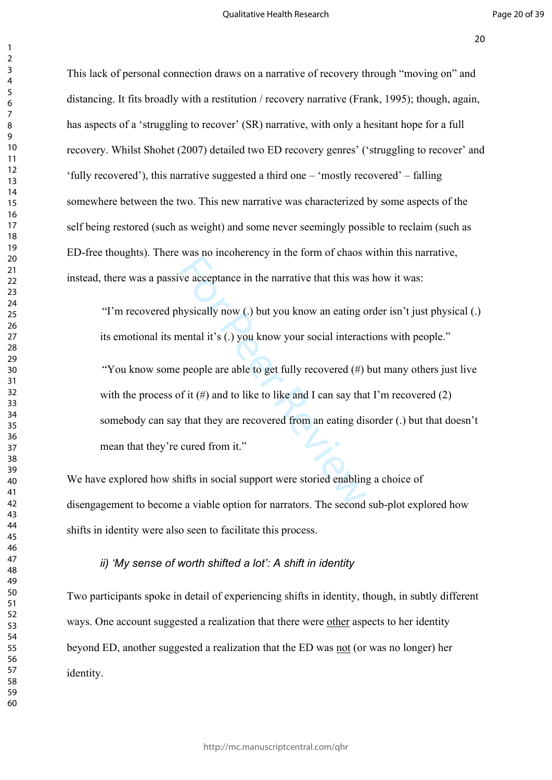This lack of personal connection draws on a narrative of recovery through "moving on" and distancing. It fits broadly with a restitution / recovery narrative (Frank, 1995); though, again, has aspects of a 'struggling to recover' (SR) narrative, with only a hesitant hope for a full recovery. Whilst Shohet (2007) detailed two ED recovery genres' ('struggling to recover' and 'fully recovered'), this narrative suggested a third one – 'mostly recovered' – falling somewhere between the two. This new narrative was characterized by some aspects of the self being restored (such as weight) and some never seemingly possible to reclaim (such as ED-free thoughts). There was no incoherency in the form of chaos within this narrative, instead, there was a passive acceptance in the narrative that this was how it was:

"I'm recovered physically now (.) but you know an eating order isn't just physical (.) its emotional its mental it's (.) you know your social interactions with people."

was no meanding in the term of entably<br>ve acceptance in the narrative that this was<br>hysically now (.) but you know an eating c<br>nental it's (.) you know your social interact<br>people are able to get fully recovered (#)<br>of it "You know some people are able to get fully recovered  $(\#)$  but many others just live with the process of it  $(\#)$  and to like to like and I can say that I'm recovered (2) somebody can say that they are recovered from an eating disorder (.) but that doesn't mean that they're cured from it."

We have explored how shifts in social support were storied enabling a choice of disengagement to become a viable option for narrators. The second sub-plot explored how shifts in identity were also seen to facilitate this process.

#### *ii) 'My sense of worth shifted a lot': A shift in identity*

Two participants spoke in detail of experiencing shifts in identity, though, in subtly different ways. One account suggested a realization that there were other aspects to her identity beyond ED, another suggested a realization that the ED was not (or was no longer) her identity.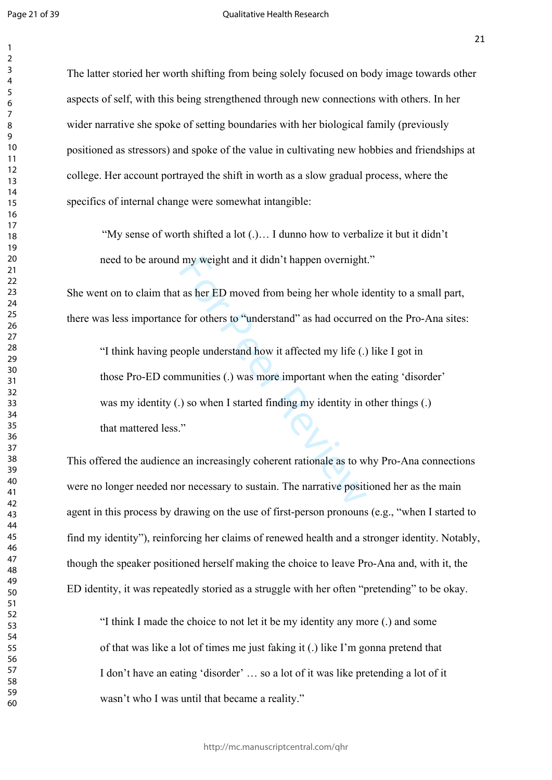$\mathbf{1}$ 

The latter storied her worth shifting from being solely focused on body image towards other aspects of self, with this being strengthened through new connections with others. In her wider narrative she spoke of setting boundaries with her biological family (previously positioned as stressors) and spoke of the value in cultivating new hobbies and friendships at college. Her account portrayed the shift in worth as a slow gradual process, where the specifics of internal change were somewhat intangible:

"My sense of worth shifted a lot (.)… I dunno how to verbalize it but it didn't need to be around my weight and it didn't happen overnight."

She went on to claim that as her ED moved from being her whole identity to a small part, there was less importance for others to "understand" as had occurred on the Pro-Ana sites:

my weight and it didn't happen overnight<br>t as her ED moved from being her whole is<br>e for others to "understand" as had occurre<br>cople understand how it affected my life (.)<br>nmunities (.) was more important when the<br>hermanni "I think having people understand how it affected my life (.) like I got in those Pro-ED communities (.) was more important when the eating 'disorder' was my identity (.) so when I started finding my identity in other things (.) that mattered less."

This offered the audience an increasingly coherent rationale as to why Pro-Ana connections were no longer needed nor necessary to sustain. The narrative positioned her as the main agent in this process by drawing on the use of first-person pronouns (e.g., "when I started to find my identity"), reinforcing her claims of renewed health and a stronger identity. Notably, though the speaker positioned herself making the choice to leave Pro-Ana and, with it, the ED identity, it was repeatedly storied as a struggle with her often "pretending" to be okay.

"I think I made the choice to not let it be my identity any more (.) and some of that was like a lot of times me just faking it (.) like I'm gonna pretend that I don't have an eating 'disorder' … so a lot of it was like pretending a lot of it wasn't who I was until that became a reality."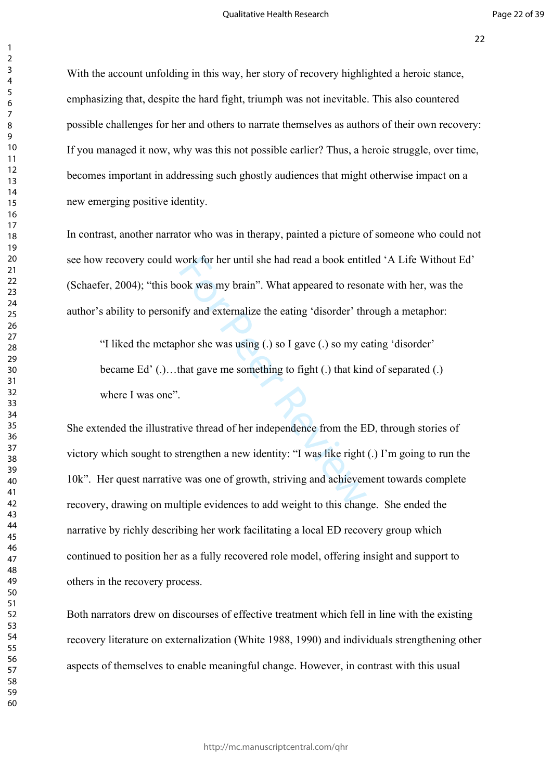With the account unfolding in this way, her story of recovery highlighted a heroic stance, emphasizing that, despite the hard fight, triumph was not inevitable. This also countered possible challenges for her and others to narrate themselves as authors of their own recovery: If you managed it now, why was this not possible earlier? Thus, a heroic struggle, over time, becomes important in addressing such ghostly audiences that might otherwise impact on a new emerging positive identity.

In contrast, another narrator who was in therapy, painted a picture of someone who could not see how recovery could work for her until she had read a book entitled 'A Life Without Ed' (Schaefer, 2004); "this book was my brain". What appeared to resonate with her, was the author's ability to personify and externalize the eating 'disorder' through a metaphor:

"I liked the metaphor she was using (.) so I gave (.) so my eating 'disorder' became Ed' (.)…that gave me something to fight (.) that kind of separated (.) where I was one".

vork for her until she had read a book entit<br>bok was my brain". What appeared to resor<br>ify and externalize the eating 'disorder' thi<br>hor she was using (.) so I gave (.) so my eath<br>that gave me something to fight (.) that k She extended the illustrative thread of her independence from the ED, through stories of victory which sought to strengthen a new identity: "I was like right (.) I'm going to run the 10k". Her quest narrative was one of growth, striving and achievement towards complete recovery, drawing on multiple evidences to add weight to this change. She ended the narrative by richly describing her work facilitating a local ED recovery group which continued to position her as a fully recovered role model, offering insight and support to others in the recovery process.

Both narrators drew on discourses of effective treatment which fell in line with the existing recovery literature on externalization (White 1988, 1990) and individuals strengthening other aspects of themselves to enable meaningful change. However, in contrast with this usual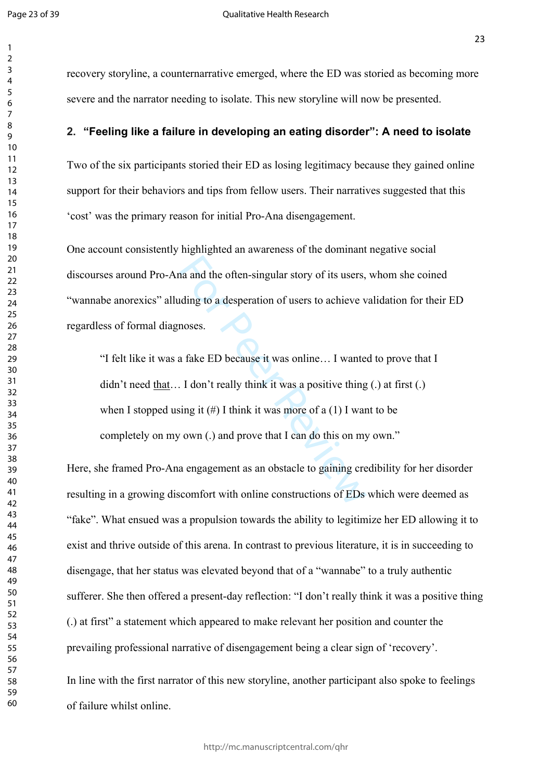$\mathbf{1}$  $\overline{2}$  $\overline{3}$  $\overline{4}$  $\overline{7}$  $\mathsf{Q}$ 

a and the often-singular story of its users,<br>
iding to a desperation of users to achieve v<br>
noses.<br>
a fake ED because it was online... I wante<br>
I don't really think it was a positive thing<br>
sing it (#) I think it was more recovery storyline, a counternarrative emerged, where the ED was storied as becoming more severe and the narrator needing to isolate. This new storyline will now be presented. **2. "Feeling like a failure in developing an eating disorder": A need to isolate**  Two of the six participants storied their ED as losing legitimacy because they gained online support for their behaviors and tips from fellow users. Their narratives suggested that this 'cost' was the primary reason for initial Pro-Ana disengagement. One account consistently highlighted an awareness of the dominant negative social discourses around Pro-Ana and the often-singular story of its users, whom she coined "wannabe anorexics" alluding to a desperation of users to achieve validation for their ED regardless of formal diagnoses. "I felt like it was a fake ED because it was online… I wanted to prove that I didn't need that… I don't really think it was a positive thing (.) at first (.) when I stopped using it  $(\#)$  I think it was more of a (1) I want to be completely on my own (.) and prove that I can do this on my own." Here, she framed Pro-Ana engagement as an obstacle to gaining credibility for her disorder resulting in a growing discomfort with online constructions of EDs which were deemed as "fake". What ensued was a propulsion towards the ability to legitimize her ED allowing it to exist and thrive outside of this arena. In contrast to previous literature, it is in succeeding to disengage, that her status was elevated beyond that of a "wannabe" to a truly authentic sufferer. She then offered a present-day reflection: "I don't really think it was a positive thing (.) at first" a statement which appeared to make relevant her position and counter the

prevailing professional narrative of disengagement being a clear sign of 'recovery'.

In line with the first narrator of this new storyline, another participant also spoke to feelings of failure whilst online.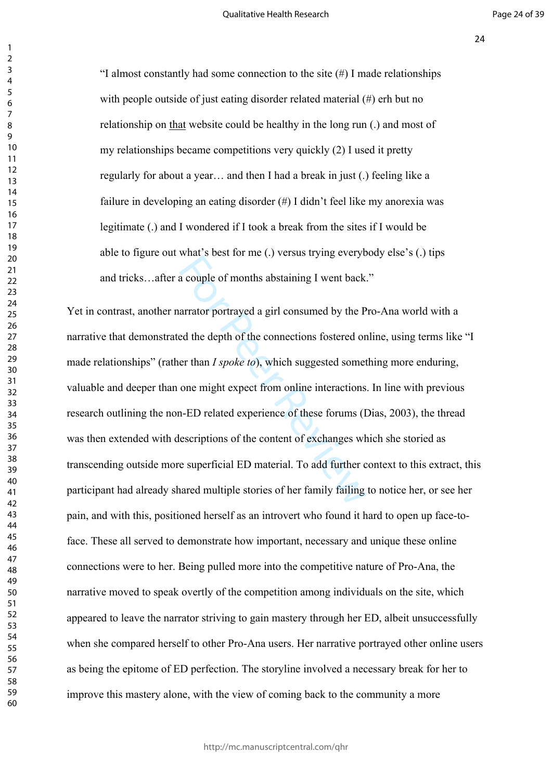"I almost constantly had some connection to the site  $(\#)$  I made relationships with people outside of just eating disorder related material (#) erh but no relationship on that website could be healthy in the long run (.) and most of my relationships became competitions very quickly (2) I used it pretty regularly for about a year… and then I had a break in just (.) feeling like a failure in developing an eating disorder (#) I didn't feel like my anorexia was legitimate (.) and I wondered if I took a break from the sites if I would be able to figure out what's best for me (.) versus trying everybody else's (.) tips and tricks…after a couple of months abstaining I went back."

a couple of months abstaining I went back<br>arrator portrayed a girl consumed by the P<br>ed the depth of the connections fostered or<br>er than  $I$  spoke to), which suggested somet<br>one might expect from online interactions<br>n-ED Yet in contrast, another narrator portrayed a girl consumed by the Pro-Ana world with a narrative that demonstrated the depth of the connections fostered online, using terms like "I made relationships" (rather than *I spoke to*), which suggested something more enduring, valuable and deeper than one might expect from online interactions. In line with previous research outlining the non-ED related experience of these forums (Dias, 2003), the thread was then extended with descriptions of the content of exchanges which she storied as transcending outside more superficial ED material. To add further context to this extract, this participant had already shared multiple stories of her family failing to notice her, or see her pain, and with this, positioned herself as an introvert who found it hard to open up face-toface. These all served to demonstrate how important, necessary and unique these online connections were to her. Being pulled more into the competitive nature of Pro-Ana, the narrative moved to speak overtly of the competition among individuals on the site, which appeared to leave the narrator striving to gain mastery through her ED, albeit unsuccessfully when she compared herself to other Pro-Ana users. Her narrative portrayed other online users as being the epitome of ED perfection. The storyline involved a necessary break for her to improve this mastery alone, with the view of coming back to the community a more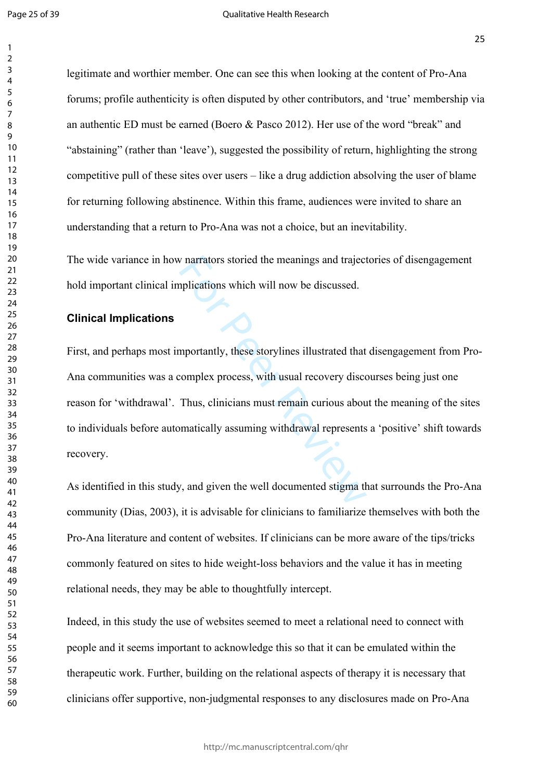$\mathbf{1}$ 

legitimate and worthier member. One can see this when looking at the content of Pro-Ana forums; profile authenticity is often disputed by other contributors, and 'true' membership via an authentic ED must be earned (Boero & Pasco 2012). Her use of the word "break" and "abstaining" (rather than 'leave'), suggested the possibility of return, highlighting the strong competitive pull of these sites over users – like a drug addiction absolving the user of blame for returning following abstinence. Within this frame, audiences were invited to share an understanding that a return to Pro-Ana was not a choice, but an inevitability.

The wide variance in how narrators storied the meanings and trajectories of disengagement hold important clinical implications which will now be discussed.

#### **Clinical Implications**

v narrators storied the meanings and traject<br>
explications which will now be discussed.<br>
mportantly, these storylines illustrated that<br>
complex process, with usual recovery discovers<br>
Thus, clinicians must remain curious a First, and perhaps most importantly, these storylines illustrated that disengagement from Pro-Ana communities was a complex process, with usual recovery discourses being just one reason for 'withdrawal'. Thus, clinicians must remain curious about the meaning of the sites to individuals before automatically assuming withdrawal represents a 'positive' shift towards recovery.

As identified in this study, and given the well documented stigma that surrounds the Pro-Ana community (Dias, 2003), it is advisable for clinicians to familiarize themselves with both the Pro-Ana literature and content of websites. If clinicians can be more aware of the tips/tricks commonly featured on sites to hide weight-loss behaviors and the value it has in meeting relational needs, they may be able to thoughtfully intercept.

Indeed, in this study the use of websites seemed to meet a relational need to connect with people and it seems important to acknowledge this so that it can be emulated within the therapeutic work. Further, building on the relational aspects of therapy it is necessary that clinicians offer supportive, non-judgmental responses to any disclosures made on Pro-Ana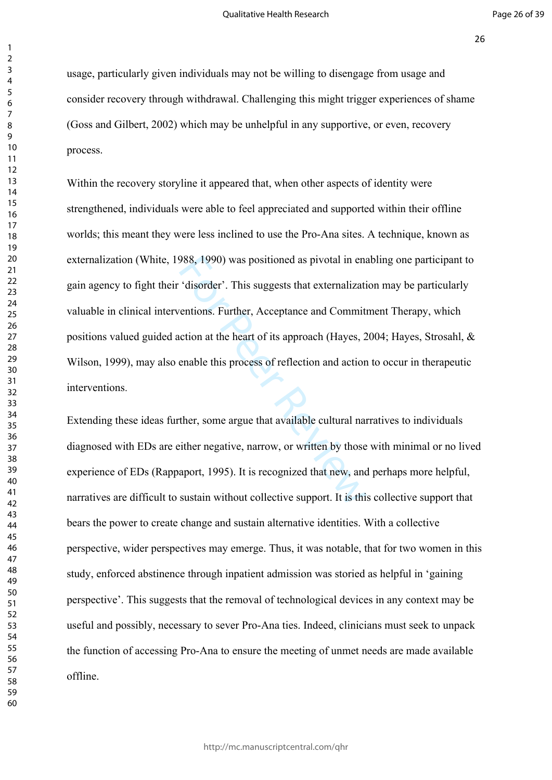usage, particularly given individuals may not be willing to disengage from usage and consider recovery through withdrawal. Challenging this might trigger experiences of shame (Goss and Gilbert, 2002) which may be unhelpful in any supportive, or even, recovery process.

988, 1990) was positioned as pivotal in ena<br>
'disorder'. This suggests that externalizative<br>
entions. Further, Acceptance and Commit<br>
ention at the heart of its approach (Hayes, 2<br>
enable this process of reflection and act Within the recovery storyline it appeared that, when other aspects of identity were strengthened, individuals were able to feel appreciated and supported within their offline worlds; this meant they were less inclined to use the Pro-Ana sites. A technique, known as externalization (White, 1988, 1990) was positioned as pivotal in enabling one participant to gain agency to fight their 'disorder'. This suggests that externalization may be particularly valuable in clinical interventions. Further, Acceptance and Commitment Therapy, which positions valued guided action at the heart of its approach (Hayes, 2004; Hayes, Strosahl, & Wilson, 1999), may also enable this process of reflection and action to occur in therapeutic interventions.

Extending these ideas further, some argue that available cultural narratives to individuals diagnosed with EDs are either negative, narrow, or written by those with minimal or no lived experience of EDs (Rappaport, 1995). It is recognized that new, and perhaps more helpful, narratives are difficult to sustain without collective support. It is this collective support that bears the power to create change and sustain alternative identities. With a collective perspective, wider perspectives may emerge. Thus, it was notable, that for two women in this study, enforced abstinence through inpatient admission was storied as helpful in 'gaining perspective'. This suggests that the removal of technological devices in any context may be useful and possibly, necessary to sever Pro-Ana ties. Indeed, clinicians must seek to unpack the function of accessing Pro-Ana to ensure the meeting of unmet needs are made available offline.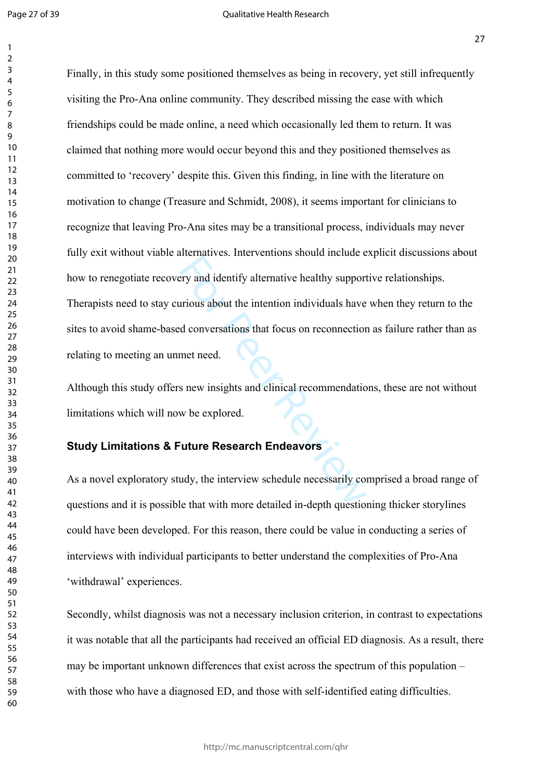$\mathbf{1}$ 

Example 18 and identify alternative healthy support<br>arious about the intention individuals have<br>d conversations that focus on reconnection<br>met need.<br>So new insights and clinical recommendation<br>we be explored.<br>Future Resear Finally, in this study some positioned themselves as being in recovery, yet still infrequently visiting the Pro-Ana online community. They described missing the ease with which friendships could be made online, a need which occasionally led them to return. It was claimed that nothing more would occur beyond this and they positioned themselves as committed to 'recovery' despite this. Given this finding, in line with the literature on motivation to change (Treasure and Schmidt, 2008), it seems important for clinicians to recognize that leaving Pro-Ana sites may be a transitional process, individuals may never fully exit without viable alternatives. Interventions should include explicit discussions about how to renegotiate recovery and identify alternative healthy supportive relationships. Therapists need to stay curious about the intention individuals have when they return to the sites to avoid shame-based conversations that focus on reconnection as failure rather than as relating to meeting an unmet need.

Although this study offers new insights and clinical recommendations, these are not without limitations which will now be explored.

#### **Study Limitations & Future Research Endeavors**

As a novel exploratory study, the interview schedule necessarily comprised a broad range of questions and it is possible that with more detailed in-depth questioning thicker storylines could have been developed. For this reason, there could be value in conducting a series of interviews with individual participants to better understand the complexities of Pro-Ana 'withdrawal' experiences.

Secondly, whilst diagnosis was not a necessary inclusion criterion, in contrast to expectations it was notable that all the participants had received an official ED diagnosis. As a result, there may be important unknown differences that exist across the spectrum of this population – with those who have a diagnosed ED, and those with self-identified eating difficulties.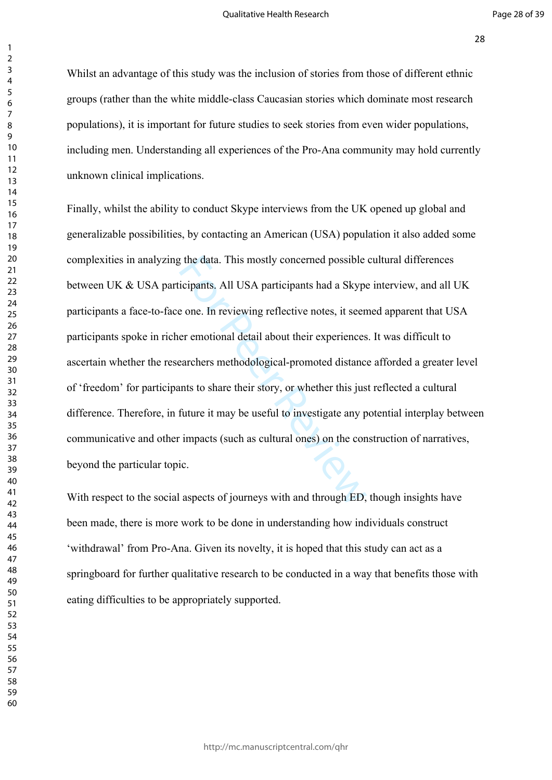Whilst an advantage of this study was the inclusion of stories from those of different ethnic groups (rather than the white middle-class Caucasian stories which dominate most research populations), it is important for future studies to seek stories from even wider populations, including men. Understanding all experiences of the Pro-Ana community may hold currently unknown clinical implications.

If the data. This mostly concerned possible<br>icipants. All USA participants had a Skype<br>e one. In reviewing reflective notes, it seen<br>er emotional detail about their experiences<br>earchers methodological-promoted distanc<br>ants Finally, whilst the ability to conduct Skype interviews from the UK opened up global and generalizable possibilities, by contacting an American (USA) population it also added some complexities in analyzing the data. This mostly concerned possible cultural differences between UK & USA participants. All USA participants had a Skype interview, and all UK participants a face-to-face one. In reviewing reflective notes, it seemed apparent that USA participants spoke in richer emotional detail about their experiences. It was difficult to ascertain whether the researchers methodological-promoted distance afforded a greater level of 'freedom' for participants to share their story, or whether this just reflected a cultural difference. Therefore, in future it may be useful to investigate any potential interplay between communicative and other impacts (such as cultural ones) on the construction of narratives, beyond the particular topic.

With respect to the social aspects of journeys with and through ED, though insights have been made, there is more work to be done in understanding how individuals construct 'withdrawal' from Pro-Ana. Given its novelty, it is hoped that this study can act as a springboard for further qualitative research to be conducted in a way that benefits those with eating difficulties to be appropriately supported.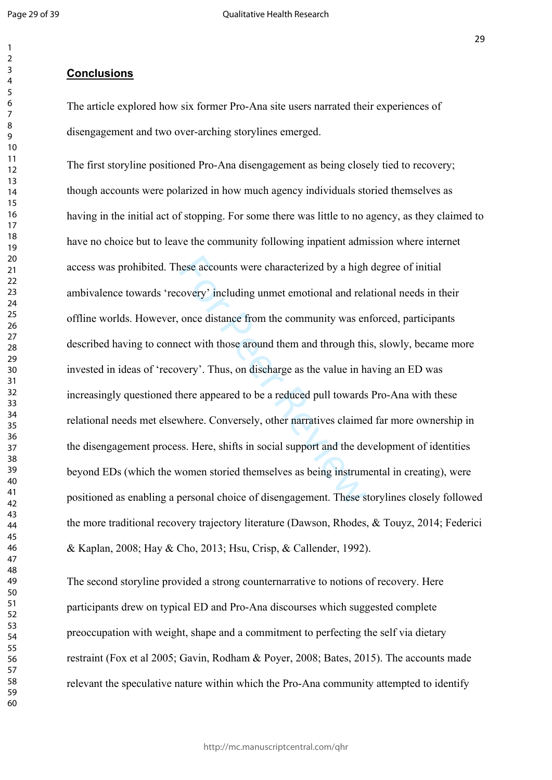$\mathbf{1}$  $\overline{2}$  $\overline{3}$  $\overline{4}$  $\overline{7}$ 

## **Conclusions**

The article explored how six former Pro-Ana site users narrated their experiences of disengagement and two over-arching storylines emerged.

hese accounts were characterized by a high<br>covery' including unmet emotional and relations and relation and the<br>once distance from the community was erect with those around them and through th<br>very'. Thus, on discharge as The first storyline positioned Pro-Ana disengagement as being closely tied to recovery; though accounts were polarized in how much agency individuals storied themselves as having in the initial act of stopping. For some there was little to no agency, as they claimed to have no choice but to leave the community following inpatient admission where internet access was prohibited. These accounts were characterized by a high degree of initial ambivalence towards 'recovery' including unmet emotional and relational needs in their offline worlds. However, once distance from the community was enforced, participants described having to connect with those around them and through this, slowly, became more invested in ideas of 'recovery'. Thus, on discharge as the value in having an ED was increasingly questioned there appeared to be a reduced pull towards Pro-Ana with these relational needs met elsewhere. Conversely, other narratives claimed far more ownership in the disengagement process. Here, shifts in social support and the development of identities beyond EDs (which the women storied themselves as being instrumental in creating), were positioned as enabling a personal choice of disengagement. These storylines closely followed the more traditional recovery trajectory literature (Dawson, Rhodes, & Touyz, 2014; Federici & Kaplan, 2008; Hay & Cho, 2013; Hsu, Crisp, & Callender, 1992).

The second storyline provided a strong counternarrative to notions of recovery. Here participants drew on typical ED and Pro-Ana discourses which suggested complete preoccupation with weight, shape and a commitment to perfecting the self via dietary restraint (Fox et al 2005; Gavin, Rodham & Poyer, 2008; Bates, 2015). The accounts made relevant the speculative nature within which the Pro-Ana community attempted to identify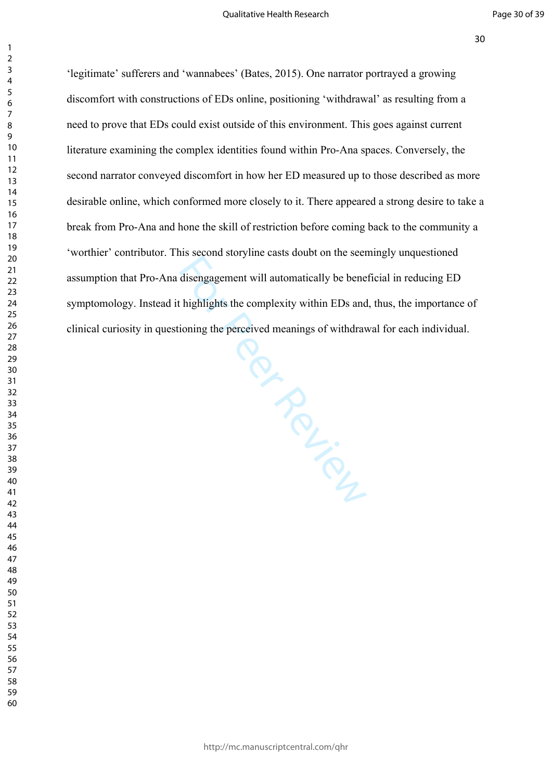From Pays 'legitimate' sufferers and 'wannabees' (Bates, 2015). One narrator portrayed a growing discomfort with constructions of EDs online, positioning 'withdrawal' as resulting from a need to prove that EDs could exist outside of this environment. This goes against current literature examining the complex identities found within Pro-Ana spaces. Conversely, the second narrator conveyed discomfort in how her ED measured up to those described as more desirable online, which conformed more closely to it. There appeared a strong desire to take a break from Pro-Ana and hone the skill of restriction before coming back to the community a 'worthier' contributor. This second storyline casts doubt on the seemingly unquestioned assumption that Pro-Ana disengagement will automatically be beneficial in reducing ED symptomology. Instead it highlights the complexity within EDs and, thus, the importance of clinical curiosity in questioning the perceived meanings of withdrawal for each individual.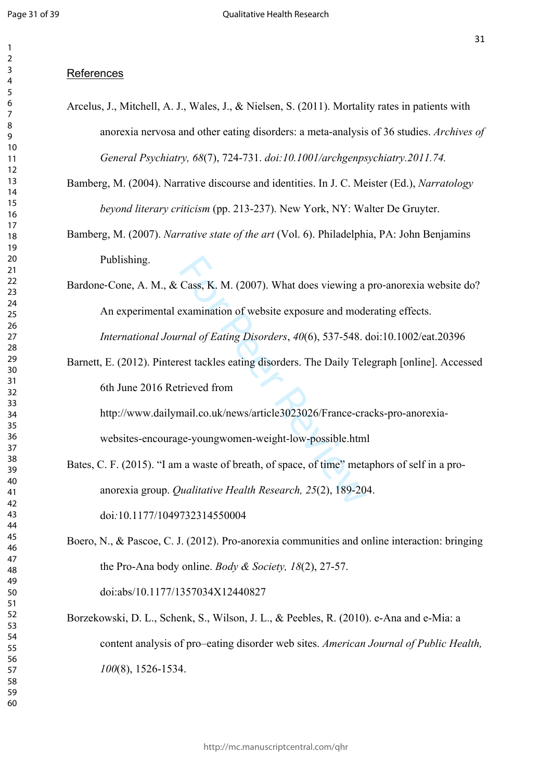$\mathbf{1}$  $\overline{2}$  $\overline{3}$  $\overline{4}$  $\overline{7}$ 

#### References

- Arcelus, J., Mitchell, A. J., Wales, J., & Nielsen, S. (2011). Mortality rates in patients with anorexia nervosa and other eating disorders: a meta-analysis of 36 studies. *Archives of General Psychiatry, 68*(7), 724-731. *doi:10.1001/archgenpsychiatry.2011.74.*
- Bamberg, M. (2004). Narrative discourse and identities. In J. C. Meister (Ed.), *Narratology beyond literary criticism* (pp. 213-237). New York, NY: Walter De Gruyter.
- Bamberg, M. (2007). *Narrative state of the art* (Vol. 6). Philadelphia, PA: John Benjamins Publishing.
- Cass, K. M. (2007). What does viewing a<br>examination of website exposure and mode<br>*rnal of Eating Disorders*, 40(6), 537-548. e<br>est tackles eating disorders. The Daily Tel<br>trieved from<br>mail.co.uk/news/article3023026/France-Bardone-Cone, A. M., & Cass, K. M. (2007). What does viewing a pro-anorexia website do? An experimental examination of website exposure and moderating effects. *International Journal of Eating Disorders*, *40*(6), 537-548. doi:10.1002/eat.20396
- Barnett, E. (2012). Pinterest tackles eating disorders. The Daily Telegraph [online]. Accessed 6th June 2016 Retrieved from

http://www.dailymail.co.uk/news/article3023026/France-cracks-pro-anorexiawebsites-encourage-youngwomen-weight-low-possible.html

- Bates, C. F. (2015). "I am a waste of breath, of space, of time" metaphors of self in a proanorexia group. *Qualitative Health Research, 25*(2), 189-204. doi *:*10.1177/1049732314550004
- Boero, N., & Pascoe, C. J. (2012). Pro-anorexia communities and online interaction: bringing the Pro-Ana body online. *Body & Society, 18*(2), 27-57. doi:abs/10.1177/1357034X12440827
- Borzekowski, D. L., Schenk, S., Wilson, J. L., & Peebles, R. (2010). e-Ana and e-Mia: a content analysis of pro–eating disorder web sites. *American Journal of Public Health,*  (8), 1526-1534.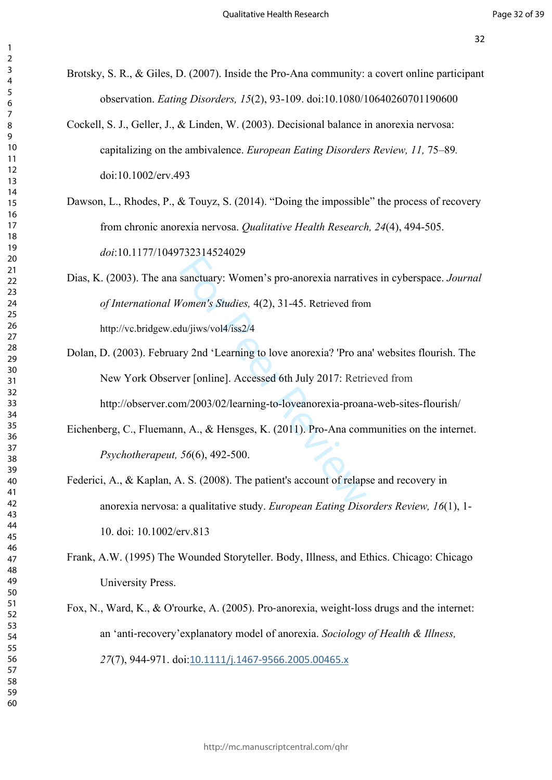- Brotsky, S. R., & Giles, D. (2007). Inside the Pro-Ana community: a covert online participant observation. *Eating Disorders, 15*(2), 93-109. doi:10.1080/10640260701190600
- Cockell, S. J., Geller, J., & Linden, W. (2003). Decisional balance in anorexia nervosa: capitalizing on the ambivalence. *European Eating Disorders Review, 11,* 75–89*.*  doi:10.1002/erv.493
- Dawson, L., Rhodes, P., & Touyz, S. (2014). "Doing the impossible" the process of recovery from chronic anorexia nervosa. *Qualitative Health Research, 24*(4), 494-505. *doi*:10.1177/1049732314524029
- sanctuary: Women's pro-anorexia narrativ<br> *Fomen's Studies*, 4(2), 31-45. Retrieved from<br>
du/jiws/vol4/iss2/4<br>
ry 2nd 'Learning to love anorexia? 'Pro an<br>
ver [online]. Accessed 6th July 2017: Retri<br>
m/2003/02/learning-to Dias, K. (2003). The ana sanctuary: Women's pro-anorexia narratives in cyberspace. *Journal of International Women's Studies,* 4(2), 31-45. Retrieved from http://vc.bridgew.edu/jiws/vol4/iss2/4
- Dolan, D. (2003). February 2nd 'Learning to love anorexia? 'Pro ana' websites flourish. The New York Observer [online]. Accessed 6th July 2017: Retrieved from http://observer.com/2003/02/learning-to-loveanorexia-proana-web-sites-flourish/
- Eichenberg, C., Fluemann, A., & Hensges, K. (2011). Pro-Ana communities on the internet. *Psychotherapeut, 56*(6), 492-500.
- Federici, A., & Kaplan, A. S. (2008). The patient's account of relapse and recovery in anorexia nervosa: a qualitative study. *European Eating Disorders Review, 16*(1), 1- 10. doi: 10.1002/erv.813
- Frank, A.W. (1995) The Wounded Storyteller. Body, Illness, and Ethics. Chicago: Chicago University Press.
- Fox, N., Ward, K., & O'rourke, A. (2005). Pro‐anorexia, weight‐loss drugs and the internet: an 'anti‐recovery'explanatory model of anorexia. *Sociology of Health & Illness,*  (7), 944-971. doi:[10.1111/j.1467-9566.2005.00465.x](https://doi.org/10.1111/j.1467-9566.2005.00465.x)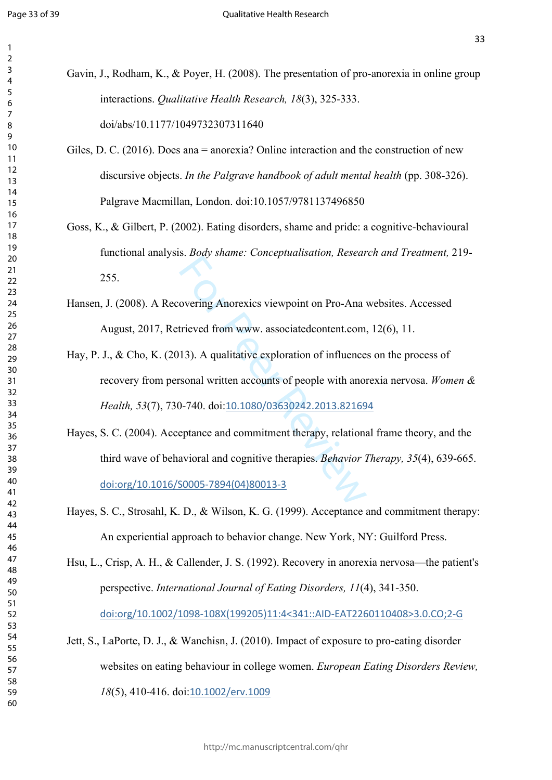$\mathbf{1}$  $\overline{2}$  $\overline{3}$  $\overline{4}$  $\overline{7}$ 

- Gavin, J., Rodham, K., & Poyer, H. (2008). The presentation of pro-anorexia in online group interactions. *Qualitative Health Research, 18*(3), 325-333. doi/abs/10.1177/1049732307311640
- Giles, D. C. (2016). Does ana = anorexia? Online interaction and the construction of new discursive objects. *In the Palgrave handbook of adult mental health* (pp. 308-326). Palgrave Macmillan, London. doi:10.1057/9781137496850
- Goss, K., & Gilbert, P. (2002). Eating disorders, shame and pride: a cognitive-behavioural functional analysis. *Body shame: Conceptualisation, Research and Treatment,* 219- 255.
- Hansen, J. (2008). A Recovering Anorexics viewpoint on Pro-Ana websites. Accessed August, 2017, Retrieved from www. associatedcontent.com, 12(6), 11.
- overing Anorexics viewpoint on Pro-Ana<br>trieved from www. associatedcontent.com<br>13). A qualitative exploration of influence<br>sonal written accounts of people with ano<br>0-740. doi:10.1080/03630242.2013.82169<br>eptance and commit Hay, P. J., & Cho, K. (2013). A qualitative exploration of influences on the process of recovery from personal written accounts of people with anorexia nervosa. *Women & Health, 53*(7), 730-740. doi:10.1080/03630242.2013.821694
- Hayes, S. C. (2004). Acceptance and commitment therapy, relational frame theory, and the third wave of behavioral and cognitive therapies. *Behavior Therapy, 35*(4), 639-665. [doi:org/10.1016/S0005-7894\(04\)80013-3](https://doi.org/10.1016/S0005-7894(04)80013-3)
- Hayes, S. C., Strosahl, K. D., & Wilson, K. G. (1999). Acceptance and commitment therapy: An experiential approach to behavior change. New York, NY: Guilford Press.
- Hsu, L., Crisp, A. H., & Callender, J. S. (1992). Recovery in anorexia nervosa—the patient's perspective. *International Journal of Eating Disorders, 11*(4), 341-350. [doi:org/10.1002/1098-108X\(199205\)11:4<341::AID-EAT2260110408>3.0.CO;2-G](http://psycnet.apa.org/doi/10.1002/1098-108X(199205)11:4%3C341::AID-EAT2260110408%3E3.0.CO;2-G)
- Jett, S., LaPorte, D. J., & Wanchisn, J. (2010). Impact of exposure to pro-eating disorder websites on eating behaviour in college women. *European Eating Disorders Review,*  (5), 410-416. doi:[10.1002/erv.1009](https://doi.org/10.1002/erv.1009)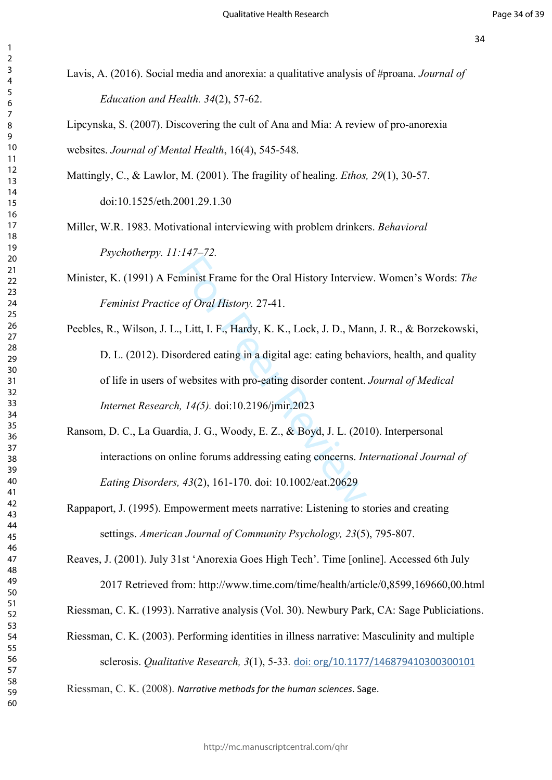Lavis, A. (2016). Social media and anorexia: a qualitative analysis of #proana. *Journal of Education and Health. 34*(2), 57-62.

Lipcynska, S. (2007). Discovering the cult of Ana and Mia: A review of pro-anorexia websites. *Journal of Mental Health*, 16(4), 545-548.

Mattingly, C., & Lawlor, M. (2001). The fragility of healing. *Ethos, 29*(1), 30-57. doi:10.1525/eth.2001.29.1.30

Miller, W.R. 1983. Motivational interviewing with problem drinkers. *Behavioral Psychotherpy. 11:147–72.*

Minister, K. (1991) A Feminist Frame for the Oral History Interview. Women's Words: *The Feminist Practice of Oral History.* 27-41.

For Principal History. 27-41.<br>
For Oral History. 27-41.<br>
J. Litt, I. F., Hardy, K. K., Lock, J. D., Man<br>
ordered eating in a digital age: eating beha<br>
websites with pro-eating disorder content.<br>
J. 14(5). doi:10.2196/jmir Peebles, R., Wilson, J. L., Litt, I. F., Hardy, K. K., Lock, J. D., Mann, J. R., & Borzekowski, D. L. (2012). Disordered eating in a digital age: eating behaviors, health, and quality of life in users of websites with pro-eating disorder content. *Journal of Medical Internet Research, 14(5).* doi:10.2196/jmir.2023

Ransom, D. C., La Guardia, J. G., Woody, E. Z., & Boyd, J. L. (2010). Interpersonal interactions on online forums addressing eating concerns. *International Journal of Eating Disorders, 43*(2), 161-170. doi: 10.1002/eat.20629

Rappaport, J. (1995). Empowerment meets narrative: Listening to stories and creating settings. *American Journal of Community Psychology, 23*(5), 795-807.

Reaves, J. (2001). July 31st 'Anorexia Goes High Tech'. Time [online]. Accessed 6th July 2017 Retrieved from: http://www.time.com/time/health/article/0,8599,169660,00.html

Riessman, C. K. (1993). Narrative analysis (Vol. 30). Newbury Park, CA: Sage Publiciations.

Riessman, C. K. (2003). Performing identities in illness narrative: Masculinity and multiple sclerosis. *Qualitative Research, 3*(1), 5-33*.* [doi: org/10.1177/146879410300300101](https://doi.org/10.1177/146879410300300101)

Riessman, C. K. (2008). *Narrative methods for the human sciences*. Sage.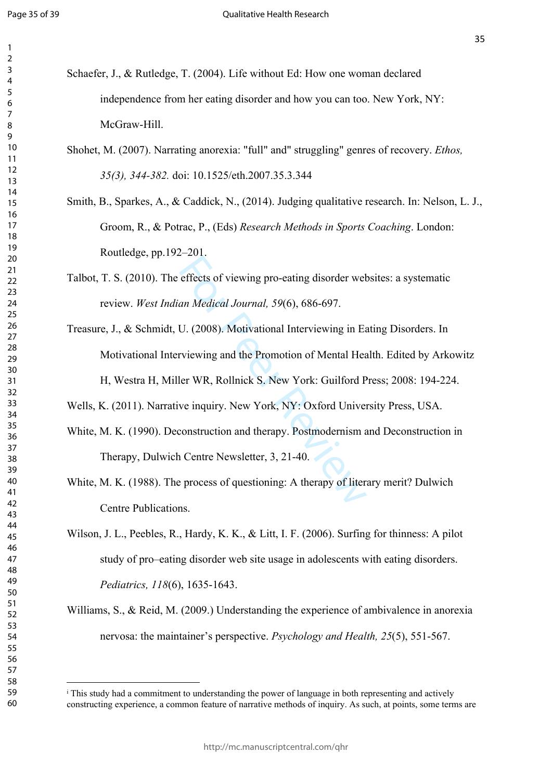$\mathbf{1}$  $\overline{2}$  $\overline{3}$  $\overline{\mathbf{4}}$ 5  $\overline{6}$  $\overline{7}$  $\bf 8$  $\mathsf 9$ 

|                                                                                  | Schaefer, J., & Rutledge, T. (2004). Life without Ed: How one woman declared                                                                                                                                                       |  |  |  |  |  |
|----------------------------------------------------------------------------------|------------------------------------------------------------------------------------------------------------------------------------------------------------------------------------------------------------------------------------|--|--|--|--|--|
|                                                                                  | independence from her eating disorder and how you can too. New York, NY:                                                                                                                                                           |  |  |  |  |  |
|                                                                                  | McGraw-Hill.                                                                                                                                                                                                                       |  |  |  |  |  |
|                                                                                  | Shohet, M. (2007). Narrating anorexia: "full" and" struggling" genres of recovery. <i>Ethos</i> ,                                                                                                                                  |  |  |  |  |  |
|                                                                                  | 35(3), 344-382. doi: 10.1525/eth.2007.35.3.344                                                                                                                                                                                     |  |  |  |  |  |
|                                                                                  | Smith, B., Sparkes, A., & Caddick, N., (2014). Judging qualitative research. In: Nelson, L. J.,                                                                                                                                    |  |  |  |  |  |
|                                                                                  | Groom, R., & Potrac, P., (Eds) Research Methods in Sports Coaching. London:                                                                                                                                                        |  |  |  |  |  |
|                                                                                  | Routledge, pp.192-201.                                                                                                                                                                                                             |  |  |  |  |  |
|                                                                                  | Talbot, T. S. (2010). The effects of viewing pro-eating disorder websites: a systematic                                                                                                                                            |  |  |  |  |  |
|                                                                                  | review. West Indian Medical Journal, 59(6), 686-697.                                                                                                                                                                               |  |  |  |  |  |
|                                                                                  | Treasure, J., & Schmidt, U. (2008). Motivational Interviewing in Eating Disorders. In                                                                                                                                              |  |  |  |  |  |
|                                                                                  | Motivational Interviewing and the Promotion of Mental Health. Edited by Arkowitz                                                                                                                                                   |  |  |  |  |  |
|                                                                                  | H, Westra H, Miller WR, Rollnick S. New York: Guilford Press; 2008: 194-224.                                                                                                                                                       |  |  |  |  |  |
| Wells, K. (2011). Narrative inquiry. New York, NY: Oxford University Press, USA. |                                                                                                                                                                                                                                    |  |  |  |  |  |
|                                                                                  | White, M. K. (1990). Deconstruction and therapy. Postmodernism and Deconstruction in                                                                                                                                               |  |  |  |  |  |
|                                                                                  | Therapy, Dulwich Centre Newsletter, 3, 21-40.                                                                                                                                                                                      |  |  |  |  |  |
|                                                                                  | White, M. K. (1988). The process of questioning: A therapy of literary merit? Dulwich                                                                                                                                              |  |  |  |  |  |
|                                                                                  | Centre Publications.                                                                                                                                                                                                               |  |  |  |  |  |
|                                                                                  | Wilson, J. L., Peebles, R., Hardy, K. K., & Litt, I. F. (2006). Surfing for thinness: A pilot                                                                                                                                      |  |  |  |  |  |
|                                                                                  | study of pro-eating disorder web site usage in adolescents with eating disorders.                                                                                                                                                  |  |  |  |  |  |
|                                                                                  | <i>Pediatrics, 118(6), 1635-1643.</i>                                                                                                                                                                                              |  |  |  |  |  |
|                                                                                  | Williams, S., & Reid, M. (2009.) Understanding the experience of ambivalence in anorexia                                                                                                                                           |  |  |  |  |  |
|                                                                                  | nervosa: the maintainer's perspective. Psychology and Health, 25(5), 551-567.                                                                                                                                                      |  |  |  |  |  |
|                                                                                  | <sup>i</sup> This study had a commitment to understanding the power of language in both representing and actively<br>constructing experience, a common feature of narrative methods of inquiry. As such, at points, some terms are |  |  |  |  |  |
|                                                                                  |                                                                                                                                                                                                                                    |  |  |  |  |  |
|                                                                                  | http://mc.manuscriptcentral.com/qhr                                                                                                                                                                                                |  |  |  |  |  |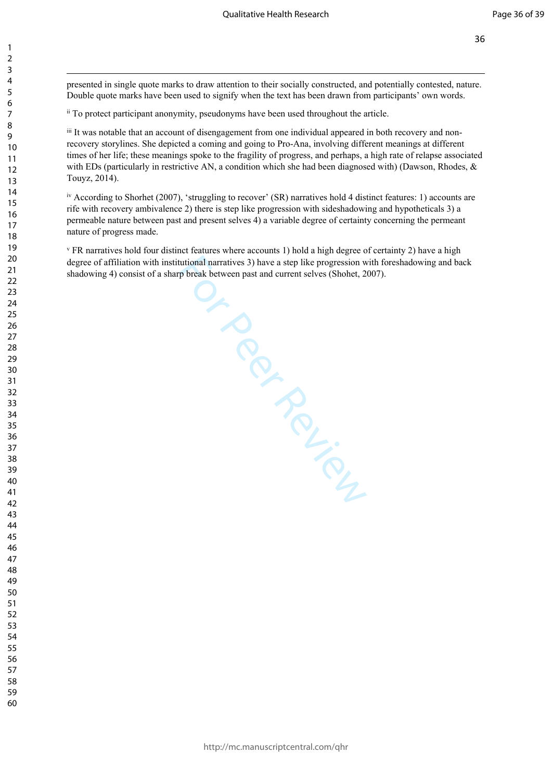presented in single quote marks to draw attention to their socially constructed, and potentially contested, nature. Double quote marks have been used to signify when the text has been drawn from participants' own words.

ii To protect participant anonymity, pseudonyms have been used throughout the article.

iii It was notable that an account of disengagement from one individual appeared in both recovery and nonrecovery storylines. She depicted a coming and going to Pro-Ana, involving different meanings at different times of her life; these meanings spoke to the fragility of progress, and perhaps, a high rate of relapse associated with EDs (particularly in restrictive AN, a condition which she had been diagnosed with) (Dawson, Rhodes, & Touyz, 2014).

iv According to Shorhet (2007), 'struggling to recover' (SR) narratives hold 4 distinct features: 1) accounts are rife with recovery ambivalence 2) there is step like progression with sideshadowing and hypotheticals 3) a permeable nature between past and present selves 4) a variable degree of certainty concerning the permeant nature of progress made.

STRACK TON PRINCIP v FR narratives hold four distinct features where accounts 1) hold a high degree of certainty 2) have a high degree of affiliation with institutional narratives 3) have a step like progression with foreshadowing and back shadowing 4) consist of a sharp break between past and current selves (Shohet, 2007).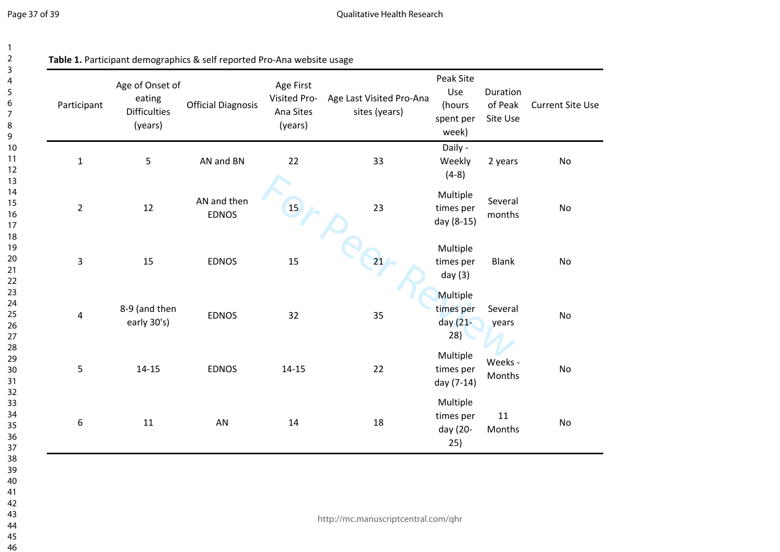| Participant      | Age of Onset of<br>eating<br><b>Difficulties</b><br>(years) | <b>Official Diagnosis</b>   | Age First<br>Visited Pro-<br>Ana Sites<br>(years) | Age Last Visited Pro-Ana<br>sites (years) | Peak Site<br>Use<br>(hours<br>spent per<br>week) | Duration<br>of Peak<br>Site Use | <b>Current Site Use</b>      |
|------------------|-------------------------------------------------------------|-----------------------------|---------------------------------------------------|-------------------------------------------|--------------------------------------------------|---------------------------------|------------------------------|
| $\mathbf 1$      | 5                                                           | AN and BN                   | 22                                                | 33                                        | Daily -<br>Weekly<br>$(4-8)$                     | 2 years                         | No                           |
| $\overline{2}$   | 12                                                          | AN and then<br><b>EDNOS</b> | 15                                                | 23                                        | Multiple<br>times per<br>day (8-15)              | Several<br>months               | No                           |
| $\overline{3}$   | 15                                                          | <b>EDNOS</b>                | 15                                                | 21                                        | Multiple<br>times per<br>day $(3)$               | Blank                           | $\mathsf{No}$                |
| $\overline{4}$   | 8-9 (and then<br>early 30's)                                | <b>EDNOS</b>                | 32                                                | 35                                        | Multiple<br>times per<br>day (21-<br>28)         | Several<br>years                | No                           |
| 5                | $14 - 15$                                                   | <b>EDNOS</b>                | $14 - 15$                                         | 22                                        | Multiple<br>times per<br>day (7-14)              | Weeks -<br>Months               | No                           |
| $\boldsymbol{6}$ | $11\,$                                                      | ${\sf AN}$                  | $14\,$                                            | 18                                        | Multiple<br>times per<br>day (20-<br>25)         | 11<br>Months                    | $\operatorname{\mathsf{No}}$ |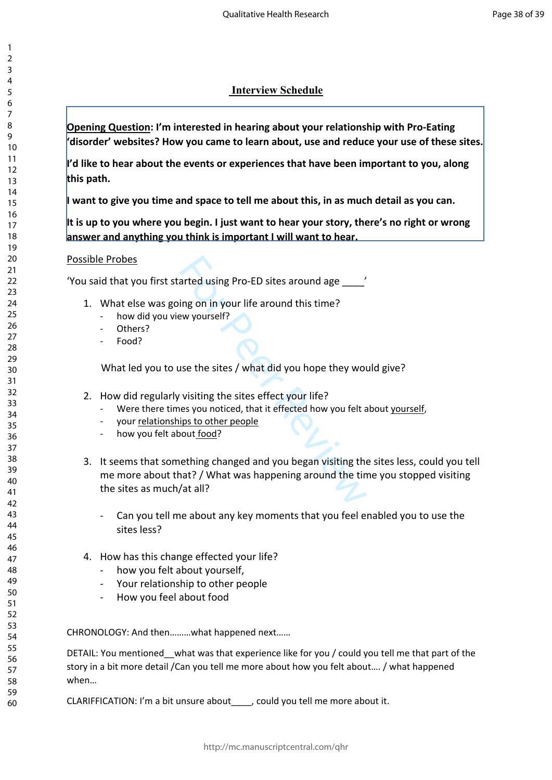## **Interview Schedule**

**Opening Question: I'm interested in hearing about your relationship with Pro-Eating 'disorder' websites? How you came to learn about, use and reduce your use of these sites.** 

**I'd like to hear about the events or experiences that have been important to you, along this path.** 

**I want to give you time and space to tell me about this, in as much detail as you can.** 

**It is up to you where you begin. I just want to hear your story, there's no right or wrong answer and anything you think is important I will want to hear.** 

## Possible Probes

'You said that you first started using Pro-ED sites around age \_\_\_\_'

- 1. What else was going on in your life around this time?
	- how did you view yourself?
	- Others?
	- Food?

What led you to use the sites / what did you hope they would give?

- 2. How did regularly visiting the sites effect your life?
	- Were there times you noticed, that it effected how you felt about yourself,
	- your relationships to other people
	- how you felt about food?
- For Peer Review 3. It seems that something changed and you began visiting the sites less, could you tell me more about that? / What was happening around the time you stopped visiting the sites as much/at all?
	- Can you tell me about any key moments that you feel enabled you to use the sites less?
- 4. How has this change effected your life?
	- how you felt about yourself,
	- Your relationship to other people
	- How you feel about food

CHRONOLOGY: And then………what happened next……

DETAIL: You mentioned\_\_what was that experience like for you / could you tell me that part of the story in a bit more detail /Can you tell me more about how you felt about…. / what happened when…

CLARIFFICATION: I'm a bit unsure about\_\_\_\_, could you tell me more about it.